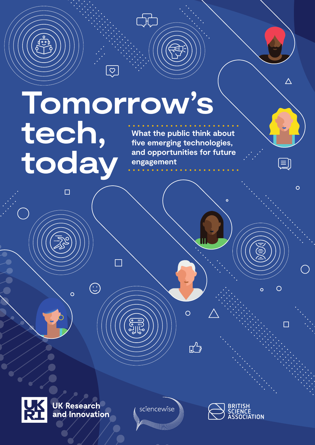# **Tomorrow's tech, today What the public think about five emerging technologies, and opportunities for future engagement**

 $\left\langle \frac{\circ}{\circ} \right\rangle$ 

cT



**UK Research<br>and Innovation** 

 $\bigodot$ 

 $\overline{O}$ 

 $\Box$ 

sciencewise

 $\overline{O}$ 

 $\mathbb{L}^2$ 



 $\Delta$ 

目

 $\overline{O}$ 

 $\Box$ 

 $\overline{O}$ 

 $\overline{O}$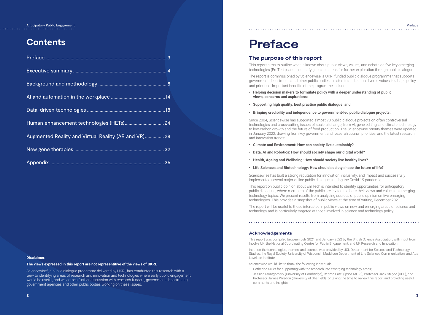# **Preface**

# **The purpose of this report**

This report aims to outline what is known about public views, values, and debate on five key emerging technologies (EmTech), and to identify gaps and areas for further exploration through public dialogue.

The report is commissioned by Sciencewise, a UKRI funded public dialogue programme that supports government departments and other public bodies to listen to and act on diverse voices, to shape policy and priorities. Important benefits of the programme include:

- **Helping decision makers to formulate policy with a deeper understanding of public views, concerns and aspirations;**
- **Supporting high quality, best practice public dialogue; and**
- **Bringing credibility and independence to government-led public dialogue projects.**

Since 2004, Sciencewise has supported almost 70 public dialogue projects on often controversial technologies and cross-cutting issues of societal change, from AI, gene editing, and climate technology to low-carbon growth and the future of food production. The Sciencewise priority themes were updated in January 2022, drawing from key government and research council priorities, and the latest research and innovation trends:

- **Climate and Environment: How can society live sustainably?**
- **Data, AI and Robotics: How should society shape our digital world?**
- **Health, Ageing and Wellbeing: How should society live healthy lives?**
- **Life Sciences and Biotechnology: How should society shape the future of life?**

Sciencewise has built a strong reputation for innovation, inclusivity, and impact and successfully implemented several major online public dialogues during the Covid-19 pandemic.

This report on public opinion about EmTech is intended to identify opportunities for anticipatory public dialogues, where members of the public are invited to share their views and values on emerging technology topics. We present results from analysing sources of public opinion on five emerging technologies. This provides a snapshot of public views at the time of writing, December 2021.

The report will be useful to those interested in public views on new and emerging areas of science and technology and is particularly targeted at those involved in science and technology policy.

Sciencewise<sup>1</sup>, a public dialogue progamme delivered by UKRI, has conducted this research with a view to identifying areas of research and innovation and technologies where early public engagement would be useful, and welcomes further discussion with research funders, government departments, government agencies and other public bodies working on these issues.

# **Acknowledgements**

This report was compiled between July 2021 and January 2022 by the British Science Association, with input from Involve UK, the National Coordinating Centre for Public Engagement, and UK Research and Innovation.

Input on the technologies, themes, and sources was provided by UCL Department for Science and Technology Studies, the Royal Society, University of Wisconsin Maddison Department of Life Sciences Communication, and Ada Lovelace Institute.

Sciencewise would like to thank the following individuals:

- Catherine Miller for supporting with the research into emerging technology areas;
- Jessica Montgomery (University of Cambridge), Reema Patel (Ipsos MORI), Professor Jack Stilgoe (UCL), and Professor James Wilsdon (University of Sheffield) for taking the time to review this report and providing useful comments and insights.

# **Contents**

| Human enhancement technologies (HETs) 24             |  |
|------------------------------------------------------|--|
| Augmented Reality and Virtual Reality (AR and VR) 28 |  |
|                                                      |  |
|                                                      |  |

Anticipatory Public Engagement 

Preface

# **Disclaimer:**

# **The views expressed in this report are not representitive of the views of UKRI.**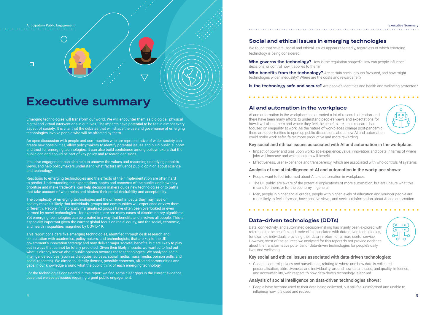$\Box$ 

# **Executive summary**

Emerging technologies will transform our world. We will encounter them as biological, physical, digital and virtual interventions in our lives. The impacts have potential to be felt in almost every aspect of society. It is vital that the debates that will shape the use and governance of emerging technologies involve people who will be affected by them.

An open discussion with people and communities who are representative of wider society can create new possibilities, allow policymakers to identify potential issues and build public support and trust for emerging technologies. It can also build confidence among policymakers that the public can and should be part of key policy and research decisions.

Inclusive engagement can also help to uncover the values and reasoning underlying people's views, and help policymakers understand what factors influence public opinion about science and technology.

Reactions to emerging technologies and the effects of their implementation are often hard to predict. Understanding the expectations, hopes and concerns of the public, and how they prioritise and make trade-offs, can help decision makers guide new technologies onto paths that take account of what helps and hinders their social desirability and acceptability.

**Who governs the technology?** How is the regulation shaped? How can people influence decisions, or control how it applies to them?

The complexity of emerging technologies and the different impacts they may have on society makes it likely that individuals, groups and communities will experience or view them differently. People in historically marginalised groups have often been overlooked or even harmed by novel technologies - for example, there are many cases of discriminatory algorithms. Yet emerging technologies can be created in a way that benefits and involves all people. This is especially important given the current global focus on racial equity, and the social, economic, and health inequalities magnified by COVID-19.

**Who benefits from the technology?** Are certain social groups favoured, and how might technologies widen inequality? Where are the costs and rewards felt?

**Is the technology safe and secure?** Are people's identities and health and wellbeing protected?

This report considers five emerging technologies, identified through desk research and consultation with academics, policymakers, and technologists, that are key to the UK government's Innovation Strategy and may deliver major societal benefits, but are likely to play out in ways that cannot be totally predicted. Given their likely impacts, we wanted to find out what is already known about public opinion towards these technologies. We analysed social intelligence sources (such as dialogues, surveys, social media, mass media, opinion polls, and social research). We aimed to identify themes, possible concerns, affected communities and gaps in our knowledge around what the public think of each emerging technology.

For the technologies considered in this report we find some clear gaps in the current evidence base that we see as issues requiring urgent public engagement.

# **Social and ethical issues in emerging technologies**

We found that several social and ethical issues appear repeatedly, regardless of which emerging technology is being considered:

# **AI and automation in the workplace**

AI and automation in the workplace has attracted a lot of research attention, and there have been many efforts to understand people's views and expectations for how it will affect them and where they feel the benefits are. Less research has focused on inequality at work. As the nature of workplaces change post-pandemic, there are opportunities to open up public discussions about how AI and automation could make work safer, fairer, more productive and more rewarding.

# Key social and ethical issues associated with AI and automation in the workplace:

- Impact of power and bias upon workplace experience; value, innovation, and costs in terms of where jobs will increase and which sectors will benefit.
- Effectiveness, user experience and transparency, which are associated with who controls AI systems

**4 5** • People have become used to their data being collected, but still feel uninformed and unable to influence how it is used and reused.

### Anticipatory Public Engagement **Executive Summary Anticipatory Public Engagement** Executive Summary

# 



# 



# Analysis of social intelligence of AI and automation in the workplace shows:

- People want to feel informed about AI and automation in workplaces.
- The UK public are aware of the potential implications of more automation, but are unsure what this means for them, or for the economy in general.
- Men, people in higher social grades, people with higher levels of education and younger people are more likely to feel informed, have positive views, and seek out information about AI and automation.

# **Data-driven technologies (DDTs)**

Data, connectivity, and automated decision-making has mainly been explored with reference to the benefits and trade-offs associated with data-driven technologies, for example individuals providing their data in return for a more useful service. However, most of the sources we analysed for this report do not provide evidence about the transformative potential of data-driven technologies for people's daily lives and wellbeing.

# Key social and ethical issues associated with data-driven technologies:

• Consent, control, privacy and surveillance, relating to where and how data is collected; personalisation, obtrusiveness, and individuality, around how data is used; and quality, influence, and accountability, with respect to how data-driven technology is applied.

# Analysis of social intelligence on data-driven technologies shows: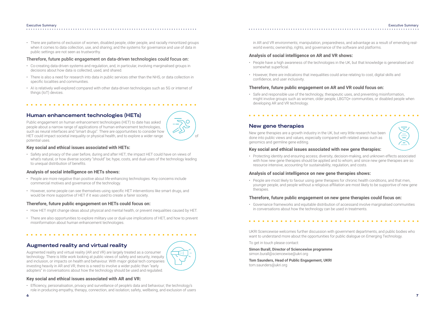# Executive Summary Executive Summary والمتحالف المتحالف المتحالف المتحدة



# . . . . . . . . . . . . .

• There are patterns of exclusion of women, disabled people, older people, and racially minoritized groups when it comes to data collection, use, and sharing; and the systems for governance and use of data in public settings are not seen as trustworthy.

# Therefore, future public engagement on data-driven technologies could focus on:

- Co-creating data-driven systems and regulation, and, in particular, involving marginalised groups in decisions about how data is collected, used, and shared.
- There is also a need for research into data in public services other than the NHS, or data collection in specific localities and communities.
- AI is relatively well-explored compared with other data-driven technologies such as 5G or internet of things (IoT) devices.

# **Human enhancement technologies (HETs)**

Public engagement on human enhancement technologies (HET) to date has asked people about a narrow range of applications of human enhancement technologies, such as neural interfaces and "smart drugs". There are opportunities to consider how HET could impact societal inequality or physical health, and to explore a wider range potential uses.

# **Key social and ethical issues associated with HETs:**

• Safety and privacy of the user before, during and after HET; the impact HET could have on views of what's natural, or how diverse society "should" be; hype, costs, and dual-uses of the technology leading to unequal distribution of benefits.

# **Analysis of social intelligence on HETs shows:**

- People are more negative than positive about life-enhancing technologies. Key concerns include commercial motives and governance of the technology.
- However, some people can see themselves using specific HET interventions like smart drugs, and would be more supportive of HET if it was used to create a fairer society.

# **Therefore, future public engagement on HETs could focus on:**

. . . . . . . . . . . . . . . . . .

- How HET might change ideas about physical and mental health, or prevent inequalities caused by HET.
- There are also opportunities to explore military use or dual-use implications of HET, and how to prevent misinformation about human enhancement technologies.

# **Augmented reality and virtual reality**

Augmented reality and virtual reality (AR and VR) are largely treated as a consumer technology. There is little work looking at public views of safety and security, inequity and inclusion, or impacts on health and behaviour. With major global tech companies investing heavily in AR and VR, there is a need to involve a wider public than "early adopters" in conversations about how the technology should be used and regulated.

# **Key social and ethical issues associated with AR and VR:**

• Efficiency, personalisation, privacy and surveillance of people's data and behaviour; the technology's role in producing empathy, therapy, connection, and isolation; safety, wellbeing, and exclusion of users

in AR and VR environments; manipulation, preparedness, and advantage as a result of emending realworld events; ownership, rights, and governance of the software and platforms.

# **Analysis of social intelligence on AR and VR shows:**

- People have a high awareness of the technologies in the UK, but that knowledge is generalised and somewhat superficial.
- However, there are indications that inequalities could arise relating to cost, digital skills and confidence, and user inclusivity.

# **Therefore, future public engagement on AR and VR could focus on:**

• Safe and responsible use of the technology, therapeutic uses, and preventing misinformation, might involve groups such as women, older people, LBGTQ+ communities, or disabled people when developing AR and VR technology.

. . . . . . . . . . . . . . . . . . . .

# **New gene therapies**

New gene therapies are a growth industry in the UK, but very little research has been done into public views and values, especially compared with related areas such as genomics and germline gene editing.

# **Key social and ethical issues associated with new gene therapies:**

• Protecting identity and ensuring access; diversity, decision-making, and unknown effects associated with how new gene therapies should be applied and to whom; and since new gene therapies are so resource intensive, accounting for sustainability, regulation, and costs.

# **Analysis of social intelligence on new gene therapies shows:**

• People are most likely to favour using gene therapies for chronic health conditions, and that men, younger people, and people without a religious affiliation are most likely to be supportive of new gene therapies.

# **Therefore, future public engagement on new gene therapies could focus on:**

• Governance frameworks and equitable distribution of accessand involve marginalised communities in conversations about how the technology can be used in treatments.

# . . . . . . . . . . . . . . .

UKRI Sciencewise welcomes further discussion with government departments, and public bodies who want to understand more about the opportunities for public dialogue on Emerging Technology.

To get in touch please contact:

**Simon Burall, Director of Sciencewise programme**  simon.burall@sciencewise@ukri.org

**Tom Saunders, Head of Public Engagement, UKRI**  tom.saunders@ukri.org



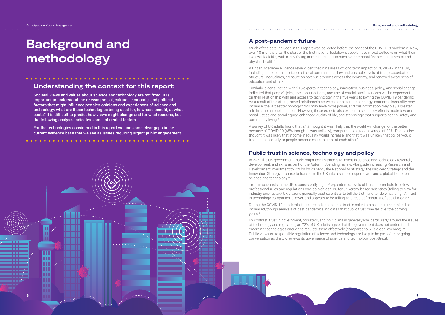# **A post-pandemic future**

Much of the data included in this report was collected before the onset of the COVID-19 pandemic. Now, over 18 months after the start of the first national lockdown, people have mixed outlooks on what their lives will look like, with many facing immediate uncertainties over personal finances and mental and physical health.<sup>2</sup>

A British Academy evidence review identified nine areas of long-term impact of COVID-19 in the UK, including increased importance of local communities, low and unstable levels of trust, exacerbated structural inequalities, pressure on revenue streams across the economy, and renewed awareness of education and skills.<sup>3</sup>

A survey of UK adults found that 21% thought it was likely that the world will change for the better because of COVID-19 (65% thought it was unlikely), compared to a global average of 30%. People also thought it was likely that income inequality would increase, and that it was unlikely that police would treat people equally or people become more tolerant of each other.<sup>5</sup>

In 2021 the UK government made major commitments to invest in science and technology research, development, and skills as part of the Autumn Spending review. Alongside increasing Research and Development investment to £20bn by 2024-25, the National AI Strategy, the Net Zero Strategy and the Innovation Strategy promise to transform the UK into a science superpower, and a global leader on science and technology.<sup>6</sup>

Similarly, a consultation with 915 experts in technology, innovation, business, policy, and social change indicated that people's jobs, social connections, and use of crucial public services will be dependent on their relationship with and access to technology in the five years following the COVID-19 pandemic. As a result of this strengthened relationship between people and technology, economic inequality may increase, the largest technology firms may have more power, and misinformation may play a greater role in shaping public opinion. However, these experts also expect to see policy efforts made towards racial justice and social equity, enhanced quality of life, and technology that supports health, safety and community living.<sup>4</sup>

### Anticipatory Public Engagement Background and methodology . . . . . . . . . . . . . .

# **Public trust in science, technology and policy**

Trust in scientists in the UK is consistently high. Pre-pandemic, levels of trust in scientists to follow professional rules and regulations was as high as 91% for university-based scientists (falling to 57% for industry scientists).<sup>7</sup> UK citizens generally trust scientists to tell the truth and to "do what is right". Trust in technology companies is lower, and appears to be falling as a result of mistrust of social media. 8

During the COVID-19 pandemic, there are indications that trust in scientists has been maintained or increased, though analysis of past pandemics indicates that public trust may fall over the coming years.£

By contrast, trust in government, ministers, and politicians is generally low, particularly around the issues of technology and regulation, as 72% of UK adults agree that the government does not understand emerging technologies enough to regulate them effectively (compared to 61% global average).<sup>10</sup> Public views on responsible regulation of science and technology are likely to be part of an ongoing conversation as the UK reviews its governance of science and technology post-Brexit.

المتمام المتمامين

# **Background and methodology**

# **Understanding the context for this report:**

Societal views and values about science and technology are not fixed. It is important to understand the relevant social, cultural, economic, and political factors that might influence people's opinions and experiences of science and technology: what are these technologies being used for, to whose benefit, at what costs? It is difficult to predict how views might change and for what reasons, but the following analysis indicates some influential factors.

For the technologies considered in this report we find some clear gaps in the current evidence base that we see as issues requiring urgent public engagement.

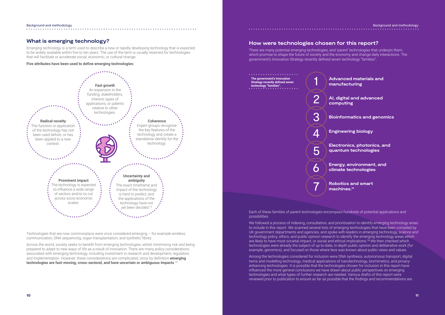### Background and methodology Background and methodology . . . . . . . . . . . . . .

# **Advanced materials and manufacturing**

**AI, digital and advanced computing**

**Bioinformatics and genomics**

**Engineering biology**

**Electronics, photonics, and quantum technologies**

**Energy, environment, and climate technologies** 

**Robotics and smart machines.<sup>13</sup>**



# . . . . . . . . . . . . . . . . . . .

# **What is emerging technology?**

Emerging technology is a term used to describe a new or rapidly developing technology that is expected to be widely available within five to ten years. The use of the term is usually reserved for technologies that will facilitate or accelerate social, economic, or cultural change.

**Five attributes have been used to define emerging technologies:**

Technologies that are now commonplace were once considered emerging – for example wireless communication, DNA sequencing, organ transplantation, and synthetic fibres.

Across the world, society seeks to benefit from emerging technologies, whilst minimising risk and being prepared to adapt to new ways of life as a result of innovation. There are many policy considerations associated with emerging technology, including investment in research and development, regulation, and implementation. However, these considerations are complicated, since by definition **emerging technologies are fast-moving, cross-sectoral, and have uncertain or ambiguous impacts**. 12

We followed a process of indexing, consultation, and prioritisation to identify emerging technology areas to include in this report. We scanned several lists of emerging technologies that have been compiled by UK government departments and agencies, and spoke with leaders in emerging technology, science and technology policy, ethics, and public opinion research to identify the emerging technology areas which are likely to have most societal impact, or social and ethical implications.<sup>14</sup> We then checked which technologies were already the subject of up-to-date, in-depth public opinion and deliberative work (for example, genomics), and focused on those where less was known about public views and values.

# **How were technologies chosen for this report?**

There are many potential emerging technologies, and 'parent' technologies that underpin them, which promise to shape the future of society and the economy and change daily interactions. The government's Innovation Strategy recently defined seven technology "families":

Each of these families of parent technologies encompass hundreds of potential applications and possibilities.

Among the technologies considered for inclusion were DNA synthesis, autonomous transport, digital twins and modelling technology, medical applications of nanotechnology, biomimetics, and privacyenhancing technologies. It is possible that the technologies chosen for inclusion in this report have influenced the more general conclusions we have drawn about public perspectives on emerging technologies and what types of further research are needed. Various drafts of this report were reviewed prior to publication to ensure as far as possible that the findings and recommendations are

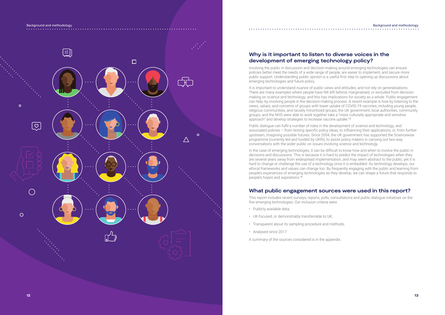

# **Why is it important to listen to diverse voices in the development of emerging technology policy?**

It is important to understand nuance of public views and attitudes, and not rely on generalisations. There are many examples where people have felt left behind, marginalised, or excluded from decisionmaking on science and technology, and this has implications for society as a whole. Public engagement can help, by involving people in the decision-making process. A recent example is how by listening to the views, values, and concerns of groups with lower uptake of COVID-19 vaccines, including young people, religious communities, and racially minoritized groups, the UK government, local authorities, community groups, and the NHS were able to work together take a "more culturally appropriate and sensitive approach" and develop strategies to increase vaccine uptake.<sup>15</sup>

Involving the public in discussion and decision-making around emerging technologies can ensure policies better meet the needs of a wide range of people, are easier to implement, and secure more public support. Understanding public opinion is a useful first step to opening up discussions about emerging technologies and future policy.

Public dialogue can fulfil a number of roles in the development of science and technology, and associated policies – from testing specific policy ideas, to influencing their applications, or, from further upstream, imagining possible futures. Since 2004, the UK government has supported the Sciencewise programme (currently led and funded by UKRI), to assist policy makers in carrying out two-way conversations with the wider public on issues involving science and technology.

In the case of emerging technologies, it can be difficult to know how and when to involve the public in decisions and discussions. This is because it is hard to predict the impact of technologies when they are several years away from widespread implementation, and may seem abstract to the public; yet it is hard to change or challenge the use of a technology once it is embedded. As technology develops, our ethical frameworks and values can change too. By frequently engaging with the public and learning from people's experiences of emerging technologies as they develop, we can shape a future that responds to people's hopes and aspirations.<sup>16</sup>

# **What public engagement sources were used in this report?**

This report includes recent surveys, reports, polls, consultations and public dialogue initiatives on the five emerging technologies. Our inclusion criteria were

- Publicly available data;
- UK-focused, or demonstrably transferrable to UK;
- Transparent about its sampling procedure and methods;
- Analysed since 2017.

A summary of the sources considered is in the appendix.

# . . . . . . . . . . . . . . . . . . .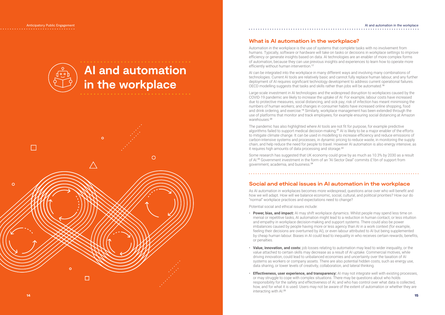# **AI and automation in the workplace**



Automation in the workplace is the use of systems that complete tasks with no involvement from humans. Typically, software or hardware will take on tasks or decisions in workplace settings to improve efficiency or generate insights based on data. AI technologies are an enabler of more complex forms of automation, because they can use previous insights and experiences to learn how to operate more efficiently without human intervention.<sup>17</sup>

# **What is AI automation in the workplace?**

AI can be integrated into the workplace in many different ways and involving many combinations of technologies. Current AI tools are relatively basic and cannot fully replace human labour, and any further deployment of AI requires significant technology development to address current operational failures. OECD modelling suggests that tasks and skills rather than jobs will be automated.<sup>18</sup>

Large-scale investment in AI technologies and the widespread disruption to workplaces caused by the COVID-19 pandemic are likely to increase the uptake of AI. For example, labour costs have increased due to protective measures, social distancing, and sick pay; risk of infection has meant minimising the numbers of human workers; and changes in consumer habits have increased online shopping, food and drink ordering, and exercise.<sup>19</sup> Similarly, workplace management has been extended through the use of platforms that monitor and track employees, for example ensuring social distancing at Amazon warehouses.<sup>20</sup>

The pandemic has also highlighted where AI tools are not fit for purpose, for example predictive algorithms failed to support medical decision-making.<sup>21</sup> AI is likely to be a major enabler of the efforts to mitigate climate change. It can be used in modelling to increase efficiency and reduce emissions of carbon-intensive systems and processes, in dynamic pricing to reduce waste, in monitoring the supply chain, and help reduce the need for people to travel. However AI automation is also energy intensive, as it requires high amounts of data processing and storage.<sup>22</sup>

### AI and automation in the workplacein nome of the state of the state of the state of the state of the state of the state of the state of the state of the state of the state of the state of the state of the state of the state of the state of the state of the

# 

Some research has suggested that UK economy could grow by as much as 10.3% by 2030 as a result of AI.23 Government investment in the form of an "AI Sector Deal" commits £1bn of support from government, academia, and business.<sup>24</sup>

# **Social and ethical issues in AI automation in the workplace**

As AI automation in workplaces becomes more widespread, questions arise over who will benefit and how we will adapt. How will we balance economic, social, cultural, and political priorities? How our do "normal" workplace practices and expectations need to change?

Potential social and ethical issues include:

- **Power, bias, and impact:** AI may shift workplace dynamics. Whilst people may spend less time on menial or repetitive tasks, AI automation might lead to a reduction in human contact, or less intuition and empathy in workplace decision-making and support systems. There could also be power imbalances caused by people having more or less agency than AI in a work context (for example, feeling their decisions are overturned by AI), or even labour attributed to AI but being supplemented by cheap human labour. Biases in AI could lead to inequality in who receives certain rewards, benefits, or penalties.
- **Value, innovation, and costs:** job losses relating to automation may lead to wider inequality, or the value attached to certain skills may decrease as a result of AI uptake. Commercial motives, while driving innovation, could lead to unbalanced economies and uncertainty over the taxation of AI systems as workers or company assets. There are also potential hidden costs, such as energy use, data sharing, or lower levels of creativity, collaboration, and lateral thinking.
- **Effectiveness, user experience, and transparency:** AI may not integrate well with existing processes, or may struggle to cope with complex situations. There may be questions about who holds responsibility for the safety and effectiveness of AI, and who has control over what data is collected, how, and for what it is used. Users may not be aware of the extent of automation or whether they are interacting with AI.<sup>25</sup>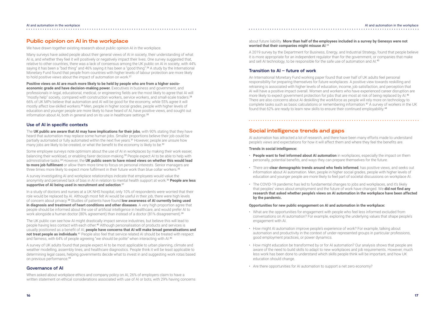# **Public opinion on AI in the workplace**

We have drawn together existing research about public opinion AI in the workplace.

Many surveys have asked people about their general views of AI in society, their understanding of what AI is, and whether they feel it will positively or negatively impact their lives. One survey suggested that, relative to other countries, there was a lack of consensus among the UK public on AI in society, with 44% saying it has been a "bad thing" and 46% saying it has been a "good thing".26 A study by the International Monetary Fund found that people from countries with higher levels of labour protection are more likely to hold positive views about the impact of automation on work.<sup>27</sup>

**Positive views on AI are much more likely to be held by people who are from a higher socioeconomic grade and have decision-making power.** Executives in business and government, and professionals in legal, educational, medical, or engineering fields are the most likely to agree that AI will "mostly help" society, compared with construction workers, service workers, and small-scale traders.<sup>28</sup> 66% of UK MPs believe that automation and AI will be good for the economy, while 55% agree it will mostly affect low-skilled workers.<sup>29</sup> Men, people in higher social grades, people with higher levels of education and younger people are more likely to have heard of AI, have positive views, and sought out information about AI, both in general and on its use in healthcare settings.<sup>30</sup>

The **UK public are aware that AI may have implications for their jobs**, with 90% stating that they have heard that automation may replace some human jobs. Smaller proportions believe their job could be partially automated or fully automated within the next five years.<sup>31</sup> However, people are unsure how many jobs are likely to be created, or what the benefit to the economy is likely to be.<sup>32</sup>

Some employee surveys note optimism about the use of AI in workplaces by making their work easier, balancing their workload, or enabling fairer decision-making.33 People expect AI to be able to help with administrative tasks.34 However, the **UK public seem to have mixed views on whether this would lead to more job fulfilment** or allow them more time to focus on personal interests. Senior managers are three times more likely to expect more fulfilment in their future work than blue collar workers.<sup>35</sup>

# **Use of AI in specific contexts**

The UK public can see how AI might drastically impact service industries, but believe this will lead to people having less contact with each other.<sup>40</sup> Although personalisation of products and services is usually positioned as a benefit of AI, **people have concerns that AI will make broad generalisations and**  not treat people as individuals.<sup>41</sup> People also feel that service related AI should be treated with respect and fairness, with 64% of people agreeing "we should be polite" when interacting with AI.<sup>42</sup>

A survey of UK adults found that people expect AI to be most applicable to urban planning, climate and weather modelling, assembly lines, and healthcare diagnostics. People think it will be least applicable to determining legal cases, helping governments decide what to invest in and suggesting work rotas based on previous performance.<sup>43</sup>

A survey investigating AI and workplace relationships indicate that employees would value the anonymity and perceived lack of bias in AI in relation to mental health support at work.<sup>36</sup> **People are less supportive of AI being used in recruitment and selection**. 37

In a study of doctors and nurses at a UK NHS hospital, only 10% of respondents were worried that their role would be replaced by AI. Although most felt AI would be useful in their job, there were high levels of concern about privacy.38 Studies of patients have found **low awareness of AI currently being used in diagnosis and treatment of heart conditions and other diseases**. A very high proportion agree that people should be informed about the use of artificial intelligence in healthcare, and would prefer AI to work alongside a human doctor (80% agreement) than instead of a doctor (81% disagreement).<sup>39</sup>

# **Governance of AI**

When asked about workplace ethics and company policy on AI, 26% of employers claim to have a written statement on ethical considerations associated with use of AI or bots, with 29% having concerns

# about future liability. **More than half of the employees included in a survey by Genesys were not worried that their companies might misuse AI**. 44

A 2019 survey by the Department for Business, Energy, and Industrial Strategy, found that people believe it is more appropriate for an independent regulator than for the government, or companies that make and sell AI technology, to be responsible for the safe use of automation and AI. 45

# **Transition to AI – future of work**

An International Monetary Fund working paper found that over half of UK adults feel personal responsibility for preparing themselves for future workplaces. A positive view towards reskilling and retraining is associated with higher levels of education, income, job satisfaction, and perception that AI will have a positive impact overall. Women and workers who have experienced career disruption are more likely to expect government protection for jobs that are most at risk of being replaced by Al.<sup>46</sup> There are also concerns about AI deskilling the workforce as people will rely more on technology to complete tasks such as basic calculations or remembering information.47 A survey of workers in the UK found that 62% are ready to learn new skills to ensure their continued employability. 48

# **Social intelligence trends and gaps**

AI automation has attracted a lot of research, and there have been many efforts made to understand people's views and expectations for how it will affect them and where they feel the benefits are.

# **Trends in social intelligence:**

- **People want to feel informed about AI automation** in workplaces, especially the impact on them personally, potential benefits, and ways they can prepare themselves for the future.
- There are **clear demographic trends around who feels informed**, has positive views, and seeks out information about AI automation. Men, people in higher social grades, people with higher levels of education and younger people are more likely to feel part of societal discussions on workplace AI.
- The COVID-19 pandemic has led to fundamental changes to jobs and workplaces, and it's likely that peoples' views about employment and the future of work have changed. We **did not find any research that asked whether people's views on AI automation in the workplace have been affected by the pandemic.**

# **Opportunities for new public engagement on AI and automation in the workplace:**

- What are the opportunities for engagement with people who feel less informed excluded from conversations on AI automation? For example, exploring the underlying values that shape people's engagement with AI.
- How might AI automation improve people's experience of work? For example, talking about automation and productivity in the context of under-represented groups in particular professions, good employment practices, or power dynamics.
- How might education be transformed by or for AI automation? Our analysis shows that people are aware of the need to build skills to adapt to new workplaces and job requirements. However, much less work has been done to understand which skills people think will be important, and how UK education should change.
- Are there opportunities for AI automation to support a net zero economy?

### AI and automation in the workplace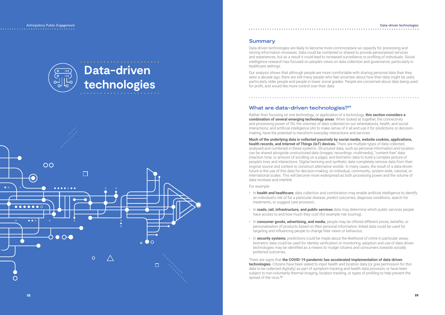而。

 $\bullet$ 

# **Data-driven technologies**



# **Summary**

Data-driven technologies are likely to become more commonplace as capacity for processing and storing information increases. Data could be combined or shared to provide personalised services and experiences, but as a result it could lead to increased surveillance or profiling of individuals. Social intelligence research has focused on people's views on data collection and governance, particularly in healthcare settings.

Our analysis shows that although people are more comfortable with sharing personal data than they were a decade ago, there are still many people who feel uncertain about how their data might be used, particularly older people and people in lower social grades. People are concerned about data being used for profit, and would like more control over their data.

# **What are data-driven technologies?<sup>49</sup>**

Rather than focusing on one technology, or application of a technology, **this section considers a combination of several emerging technology areas**. When looked at together, the connectivity and processing power of 5G; the volumes of data collected on our whereabouts, health, and social interactions; and artificial intelligence (AI) to make sense of it all and use it for predictions or decisionmaking, have the potential to transform everyday interactions and services.

There are signs that **the COVID-19 pandemic has accelerated implementation of data-driven technologies**. Citizens have been asked to input health and location data (or give permission for this data to be collected digitally) as part of symptom tracking and health data provision; or have been subject to non-voluntarily thermal imaging, location tracking, or types of profiling to help prevent the spread of the virus.<sup>50</sup>

# Anticipatory Public Engagement Data-driven technologies and the control of the control of the control of the control of the control of the control of the control of the control of the control of the control of the control . . . . . . . . . . . . . . .

**Much of the underlying data is collected passively by social media, website cookies, applications, health records, and Internet of Things (IoT) devices.** There are multiple types of data collected, analysed and combined in these systems. Structured data, such as personal information and location, can be shared alongside unstructured data (images, recordings, multimedia), "content-free" data (reaction time, or amount of scrolling on a page), and biometric data to build a complex picture of people's lives and interactions. Digital twinning and synthetic data completely remove data from their original source and context to construct alternative worlds. In many cases, the result of a data-driven future is the use of this data for decision-making, on individual, community, system-wide, national, or international scales. This will become more widespread as both processing power and the volume of data increase and interlink.

For example:

- In **health and healthcare**, data collection and combination may enable artificial intelligence to identify an individual's risk of for a particular disease, predict outcomes, diagnose conditions, search for treatments, or suggest care provision;
- In **roads, rail, infrastructure, and public services** data may determine which public services people have access to and how much they cost (for example risk scoring);
- In **consumer goods, advertising, and media**, people may be offered different prices, benefits, or personalisation of products based on their personal information; linked data could be used for targeting and influencing people to change their views or behaviour;
- In **security systems**, predictions could be made about the likelihood of crime in particular areas; biometric data could be used for identity verification or monitoring; adoption and use of data driven technologies may be identified as a means to 'nudge' citizens and consumers towards socially preferred outcomes.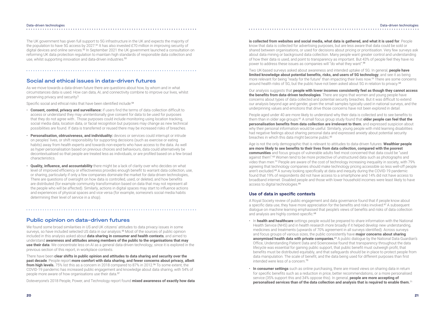### Data-driven technologies Data-driven technologies . . . . . . . . . . . . . . .

# . . . . . . . . . . . . . . . . . .

The UK government has given full support to 5G infrastructure in the UK and expects the majority of the population to have 5G access by 2027.<sup>51</sup> It has also invested £70 million in improving security of digital devices and online services.52 In September 2021 the UK government launched a consultation on reforming UK data protection regulation to maintain high standards of responsible data collection and use, whilst supporting innovation and data-driven industries.<sup>53</sup>

# **Social and ethical issues in data-driven futures**

As we move towards a data-driven future there are questions about how, by whom and in what circumstances data is used. How can data, AI, and connectivity combine to improve our lives, whilst preserving privacy and security?

Specific social and ethical risks that have been identified include:<sup>54</sup>

There have been **clear shifts in public opinion and attitudes to data sharing and security over the past decade**. People report **more comfort with data sharing, and fewer concerns about privacy, albeit from high levels.** 75% list this as a concern in 2018 compared to 87% in 2012.<sup>56</sup> To some extent, the COVID-19 pandemic has increased public engagement and knowledge about data sharing, with 54% of people more aware of how organisations use their data.<sup>57</sup>

- **Consent, control, privacy and surveillance:** if users find the terms of data collection difficult to access or understand they may unintentionally give consent for data to be used for purposes that they do not agree with.. Those purposes could include monitoring using location tracking, social media data, location data, or facial recognition but purposes may change as new technical possibilities are found. If data is transferred or reused there may be increased risks of breaches.
- **Personalisation, obtrusiveness, and individuality:** devices or services could interrupt or intrude on peoples' lives, or shift responsibility for supporting decisions (such as exercise or eating habits) away from health experts and towards non-experts who have access to the data. As well as hyper-personalisation based on previous choices and behaviours, data could alternatively be decontextualised so that people are treated less as individuals, or are profiled based on a few broad characteristics.
- **Quality, influence, and accountability** there might be a lack of clarity over who decides on what level of improved efficiency or effectiveness provides enough benefit to warrant data collection, use, or sharing, particularly if only a few companies dominate the market for data-driven technologies,. There are questions of oversight on how data is controlled, used, or deleted, and how benefits are distributed (for example community transformation based on data that may not represent all the people who will be affected). Similarly, actions in digital spaces may start to influence actions and experiences of physical spaces and vice versa (for example, someone's social media habits determining their level of service in a shop).

People aged under 40 are more likely to understand why their data is collected and to see benefits to them than in older age groups.<sup>61</sup> A small focus group study found that **older people can feel that the personalisation benefits from data collection are irrelevant to them**, and expressed suspicion about why their personal information would be useful. Similarly, young people with mild learning disabilities had negative feelings about sharing personal data and expressed anxiety about potential security breaches in which this data might become public.<sup>62</sup>

# **Public opinion on data-driven futures**

Age is not the only demographic that is relevant to attitudes to data-driven futures. **Wealthier people are more likely to see benefits to their lives from data collection, compared with the poorest communities** and focus groups of vulnerable adults feel most concerned that data could be "used against them".63 Women tend to be more protective of unstructured data such as photographs and video than men.<sup>64</sup> People are aware of the cost of technology increasing inequality in society, with 79% agreeing that technology companies should make technology pricing accessible so less well-off people aren't excluded.65 A survey looking specifically at data and inequity during the COVID-19 pandemic found that 19% of respondents did not have access to a smartphone and 14% did not have access to broadband internet. Disabled people and those with lower household incomes were least likely to have access to digital technologies.<sup>66</sup>

We found some broad similarities in US and UK citizens' attitudes to data privacy issues in some surveys, so have included selected US data in our analysis.<sup>55</sup> Most of the sources of public opinion included in this analysis asked about **data sharing in consumer and health contexts**, and aimed to understand **awareness and attitudes among members of the public to the organisations that may use their data**. We concentrate less on AI as a general data-driven technology, since it is explored in the previous section of this report, in workplace contexts.

A Royal Society review of public engagement and data governance found that if people know about a specific data use, they have more appreciation for the benefits and risks involved.<sup>67</sup> A subsequent dialogue on machine learning emphasised that people's views of benefits and risks of data collection and analysis are highly context-specific.<sup>68</sup>

Doteveryone's 2018 People, Power, and Technology report found **mixed awareness of exactly how data** 

**is collected from websites and social media, what data is gathered, and what it is used for**. People know that data is collected for advertising purposes, but are less aware that data could be sold or shared between organisations, or used for decisions about pricing or prioritisation. Very few surveys ask about data mining or background data collection. Many people want greater control and understanding of how their data is used, and point to transparency as important. But 43% of people feel they have no power to address these issues as companies will "do what they want".<sup>58</sup>

Two UK-based surveys asked about awareness and intended uptake of 5G. In general, **people have limited knowledge about potential benefits, risks, and users of 5G technology**, and see it as being more relevant for being "ready for the future" than impacting their lives now.<sup>59</sup> There are some concerns around health risks of 5G, but the public have not been asked about 5G in relation to privacy. 60

Our analysis suggests that **people with lower incomes consistently feel as though they cannot access the benefits from data-driven technologies**. There are signs that women and young people have concerns about types of data collected and potential security breaches. But it was difficult to extend our analysis beyond age and gender, given the small samples typically used in national surveys, and the underpinning values and emotions that drive those concerns have not been explored in detail.

# **Use of data in specific contexts**

- In **health and healthcare** settings people would be prepared to share information with the National Health Service (NHS) and in health research more broadly if it helped develop new understanding, medicines and treatments (upwards of 70% agreement in all surveys identified). Across surveys and focus groups of various sizes, the public consistently have **major concerns about sharing anonymised health data with private companies.**<sup>69</sup> A public dialogue by the National Data Guardian's Office, Understanding Patient Data and Sciencewise found that transparency throughout the data lifecycle was essential for gaining public support, that public benefit must outweigh profit, that benefits must be distributed equitably, and that safeguards should be in place to protect people from data manipulation. The scale of benefit, and the data being used for different purposes than first intended were less of a concern.<sup>70</sup>
- **In consumer settings** such as online purchasing, there are mixed views on sharing data in return for specific benefits such as a reduction in price, better recommendations, or a more personalised service (35% support this and 34% oppose this). In general, **people are more accepting of personalised services than of the data collection and analysis that is required to enable them.** 71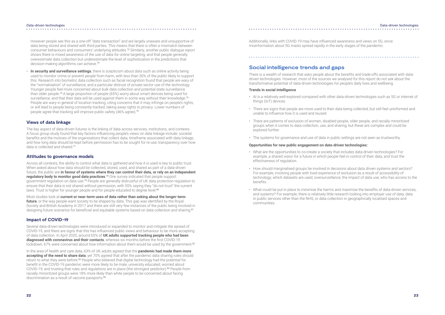### Data-driven technologies . . . . . . . . . . . . . . . . . .

### Data-driven technologies . . . . . . . . . . . . . . . .

However people see this as a one-off "data transaction" and are largely unaware and unsupportive of data being stored and shared with third parties. This means that there is often a mismatch between consumer behaviours and consumers' underlying attitudes.72 Similarly, another public dialogue report shows there is mixed awareness of the use of data for online targeting, and that people generally overestimate data collection but underestimate the level of sophistication in the predictions that decision-making algorithms can achieve.<sup>73</sup>

Across all contexts, the ability to control what data is gathered and how it is used is key to public trust. When asked about how data should be collected, stored, used, and shared as part of a data-driven future, the public are **in favour of systems where they can control their data, or rely on an independent regulatory body to monitor good data practices**. <sup>78</sup> One survey indicated that people support government regulation on data use.<sup>79</sup> People are generally distrustful of UK data protection regulation to ensure that their data is not shared without permission, with 55% saying they "do not trust" the current laws. Trust is higher for younger people and for people educated to degree level.<sup>80</sup>

• **In security and surveillance settings**, there is scepticism about data such as online activity being used to monitor crime or prevent people from harm, with less than 30% of the public likely to support this. Research into biometric data collection such as facial recognition found that people are wary of the "normalisation" of surveillance, and a particular distrust of private sector use of the technology. Younger people feel more concerned about bulk data collection and potential state surveillance than older people.74 A large proportion of people (65%) worry about smart devices being used for surveillance, and that their data will be used against them in some way without their knowledge.<sup>75</sup> People are wary in general of location tracking, citing concerns that it may infringe on people's rights, or will lead to people being constantly tracked, taking away rights to privacy. Lower numbers of people agree that tracking will improve public safety (46% agree).<sup>76</sup>

Most studies look at **current or near-term uses of data rather than asking about the longer-term future**, or the way people want society to be shaped by data. This gap was identified by the Royal Society and British Academy in 2017 and there are still very few instances of the public being involved in designing future scenarios for beneficial and equitable systems based on data collection and sharing.<sup>81</sup>

# **Views of data linkage**

Several data-driven technologies were introduced or expanded to monitor and mitigate the spread of COVID-19, and there are signs that this has influenced public views and behaviour to be more accepting of data collection. In April 2020, around 65% of **UK adults supported tracking people who had been diagnosed with coronavirus and their contacts**, whereas six months before the first COVID-19 lockdown, 67% were concerned about how information about them would be used by the government.<sup>82</sup>

The key aspect of data-driven futures is the linking of data across services, institutions, and contexts. A focus group study found that key factors influencing people's views on data linkage include: societal benefits and the motives of the organisations that collect data; timeframe associated with data linkage, and how long data should be kept before permission has to be sought for re-use; transparency over how data is collected and shared.<sup>77</sup>

In the area of health and care data, 63% of UK adults agreed that the **pandemic had made them more**  accepting of the need to share data, yet 70% agreed that after the pandemic data sharing rules should return to what they were before.<sup>83</sup> People who believed that digital technology had the potential for benefit in the COVID-19 pandemic were more likely to be male, university educated, worried about COVID-19, and trusting that rules and regulations are in place (the strongest predictor).84 People from racially minoritized groups were 18% more likely than white people to be concerned about facing discrimination as a result of vaccine passports.<sup>85</sup>

# **Attitudes to governance models**

# **Impact of COVID-19**

Additionally, links with COVID-19 may have influenced awareness and views on 5G, since misinformation about 5G masts spread rapidly in the early stages of the pandemic.

# **Social intelligence trends and gaps**

There is a wealth of research that asks people about the benefits and trade-offs associated with datadriven technologies. However, most of the sources we analysed for this report do not ask about the transformative potential of data-driven technologies for people's daily lives and wellbeing.

# **Trends in social intelligence**

• AI is a relatively well-explored compared with other data-driven technologies such as 5G or internet of

- things (IoT) devices.
- There are signs that people are more used to their data being collected, but still feel uninformed and unable to influence how it is used and reused.
- There are patterns of exclusion of women, disabled people, older people, and racially minoritized groups when it comes to data collection, use, and sharing, but these are complex and could be explored further.
- The systems for governance and use of data in public settings are not seen as trustworthy.

# **Opportunities for new public engagement on data-driven technologies:**

- What are the opportunities to co-create a society that includes data-driven technologies? For example, a shared vision for a future in which people feel in control of their data, and trust the effectiveness of regulation.
- How should marginalised groups be involved in decisions about data driven systems and sectors? For example, involving people with lived experience of exclusion as a result of accessibility of technology; which datasets are used; oversurveillance; the impact of data use; who has access to the benefits.
- What could be put in place to minimise the harms and maximise the benefits of data-driven services, and systems? For example, there is relatively little research looking into employer use of data, data in public services other than the NHS, or data collection in geographically localised spaces and communities.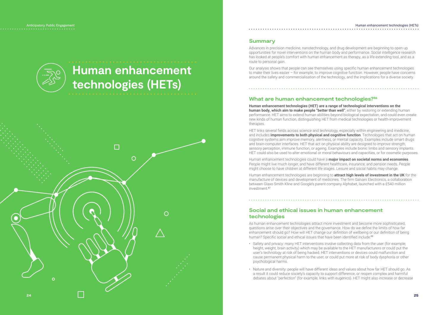# **Human enhancement technologies (HETs)**



# **Summary**

Advances in precision medicine, nanotechnology, and drug development are beginning to open up opportunities for novel interventions on the human body and performance. Social intelligence research has looked at people's comfort with human enhancement as therapy, as a life-extending tool, and as a route to personal gain.

Our analysis shows that people can see themselves using specific human enhancement technologies to make their lives easier – for example, to improve cognitive function. However, people have concerns around the safety and commercialisation of the technology, and the implications for a diverse society.

# **What are human enhancement technologies?<sup>86</sup>**

**Human enhancement technologies (HET) are a range of technological interventions on the human body, which aim to make people "better than well"**, either by restoring or extending human performance. HET aims to extend human abilities beyond biological expectation, and could even create new kinds of human function, distinguishing HET from medical technologies or health-improvement therapies.

As human enhancement technologies attract more investment and become more sophisticated, questions arise over their objectives and the governance. How do we define the limits of how far enhancement should go? How will HET change our definition of wellbeing or our definition of being human? Specific social and ethical issues that have been identified include:<sup>88</sup>

HET links several fields across science and technology, especially within engineering and medicine, and includes **improvements to both physical and cognitive function**. Technologies that act on human cognitive systems aim improve memory, alertness, or mental capacity. Examples include smart drugs and brain-computer interfaces. HET that act on physical ability are designed to improve strength, sensory perception, immune function, or ageing. Examples include bionic limbs and sensory implants. HET could also be used to alter emotional or moral behaviours and capacities, or for cosmetic purposes.

Human enhancement technologies could have a **major impact on societal norms and economies**. People might live much longer, and have different healthcare, insurance, and pension needs. People might choose to have children at different life stages. Leisure and social habits may change.

Human enhancement technologies are beginning to **attract high levels of investment in the UK** for the manufacture of devices and development of medicines. The firm Galvani Electronics, a collaboration between Glaxo Smith Kline and Google's parent company Alphabet, launched with a £540 million investment.<sup>87</sup>

# **Social and ethical issues in human enhancement technologies**

- Safety and privacy: many HET interventions involve collecting data from the user (for example, height, weight, brain activity) which may be available to the HET manufacturers or could put the user's technology at risk of being hacked. HET interventions or devices could malfunction and cause permanent physical harm to the user, or could put more at risk of body dysphoria or other psychological harms.
- Nature and diversity: people will have different ideas and values about how far HET should go. As a result it could reduce society's capacity to support difference, or reopen complex and harmful debates about "perfection" (for example, links with eugenics). HET might also increase or decrease

### Human enhancement technologies (HETs)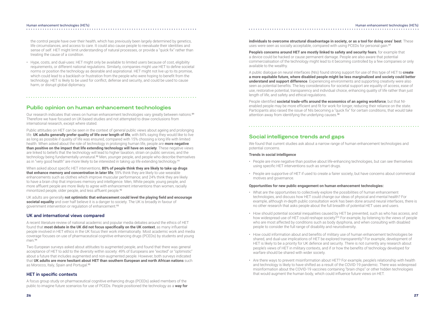### Human enhancement technologies (HETs)

• Hype, costs, and dual-uses: HET might only be available to limited users because of cost, eligibility requirements, or different national regulations. Similarly, companies might use HET to define societal norms or position the technology as desirable and aspirational. HET might not live up to its promise, which could lead to a backlash or frustration from the people who were hoping to benefit from the technology. HET is likely to be used for conflict, defense and security, and could be used to cause harm, or disrupt global diplomacy.

the control people have over their health, which has previously been largely determined by genetics, life circumstances, and access to care. It could also cause people to reevaluate their identities and sense of self. HET might limit understanding of natural processes, or provide a "quick fix" rather than treating the cause of a condition.

Our research indicates that views on human enhancement technologies vary greatly between nations.<sup>89</sup> Therefore we have focused on UK-based studies and not attempted to draw conclusions from international research, except where stated.

Public attitudes on HET can be seen in the context of general public views about ageing and prolonging life. **UK adults generally prefer quality of life over length of life**, with 84% saying they would like to live as long as possible if quality of life was ensured, compared with 15% choosing a long life with limited health. When asked about the role of technology in prolonging human life, people are **more negative than positive on the impact that life extending technology will have on society**. These negative views are linked to beliefs that the technology will lead to higher taxation, strain on public services, and the technology being fundamentally unnatural.<sup>90</sup> Men, younger people, and people who describe themselves as in "very good health" are more likely to be interested in taking up life extending technology.<sup>91</sup>

# **Public opinion on human enhancement technologies**

A recent literature review of national academic and popular media debates around the ethics of HET found that **most debate in the UK did not focus specifically on the UK context**, as many influential people involved in HET ethics in the UK focus their work internationally. Most academic work and media coverage focuses on use of pharmaceutical cognitive enhancing drugs (PCEDs) by students and young men.<sup>94</sup>

Two European surveys asked about attitudes to augmented people, and found that there was general acceptance of HET to add to the diversity within society: 49% of Europeans are "excited" or "optimistic" about a future that includes augmented and non-augmented people. However, both surveys indicated that **UK adults are more hesitant about HET than southern European and north African nations** such as Morocco, Italy, Spain and Portugal.95

**individuals to overcome structural disadvantage in society, or as a tool for doing ones' best**. These uses were seen as socially acceptable, compared with using PCEDs for personal gain.<sup>97</sup>

When asked about specific HET interventions, **80% of people think they are likely to take up drugs that enhance memory and concentration in later life**; 59% think they are likely to use wearable enhancements such as clothes which improve muscular performance; and 24% think they are likely to have a brain chip that improves memory and intelligence. Men, White people, young people, and more affluent people are more likely to agree with enhancement interventions than women, racially minoritized people, older people, and less affluent people.<sup>92</sup>

People identified **societal trade-offs around the economics of an ageing workforce**, but that NIenabled people may be more efficient and fit for work for longer, reducing their reliance on the state. Participants also raised the issue of NIs becoming a "quick fix" for certain conditions, that would take attention away from identifying the underlying causes.<sup>98</sup>

UK adults are generally **not optimistic that enhancement could level the playing field and encourage societal equality** and over half believe it is a danger to society. The UK is broadly in favour of government intervention or regulation of enhancement.<sup>93</sup>

# **UK and international views compared**

# **HET in specific contexts**

A focus group study on pharmaceutical cognitive enhancing drugs (PCEDs) asked members of the public to imagine future scenarios for use of PCEDs. People positioned the technology as a **way for** 

**People's concerns around HET are mostly linked to safety and security fears**, for example that a device could be hacked or cause permanent damage. People are also aware that potential commercialisation of the technology might lead to it becoming controlled by a few companies or only available to the wealthy.

A public dialogue on neural interfaces (NIs) found strong support for use of this type of HET to **create a more equitable future, where disabled people might be less marginalized and society could better understand and support difference**. Experiencing environments and supporting creativity were also seen as potential benefits. The key considerations for societal support are equality of access, ease of use, restorative potential, transparency and individual choice, enhancing quality of life rather than just length of life, and safety and ethical regulations.

# **Social intelligence trends and gaps**

We found that current studies ask about a narrow range of human enhancement technologies and potential concerns.

# **Trends in social intelligence**

- People are more negative than positive about life-enhancing technologies, but can see themselves using specific HET interventions such as smart drugs.
- People are supportive of HET if used to create a fairer society, but have concerns about commercial motives and governance.

# **Opportunities for new public engagement on human enhancement technologies:**

- What are the opportunities to collectively explore the possibilities of human enhancement technologies, and discuss how HET could change our ideas of physical and mental health? For example, although in-depth public consultation work has been done around neural interfaces, there is no other research that asks people about the full breadth of potential HET uses and users.
- How should potential societal inequalities caused by HET be prevented, such as who has access, and how widespread use of HET could reshape society?<sup>99</sup> For example, by listening to the views of people who are most affected by conditions such as body dysphoria, and when consulting with disabled people to consider the full range of disability and neurodiversity.
- How could information about and benefits of military use of human enhancement technologies be shared, and dual-use implications of HET be explored transparently? For example, development of HET is likely to be a priority for UK defence and security. There is not currently any research about people's views of HET in military contexts, and if or how the benefits of technology developed for warfare should be shared with wider society.
- Are there ways to prevent misinformation about HET? For example, people's relationship with health and technology is likely to have shifted as a result of the COVID-19 pandemic. There was widespread misinformation about the COVID-19 vaccines containing "brain chips" or other hidden technologies that would augment the human body, which could influence future views on HET.

### Human enhancement technologies (HETs)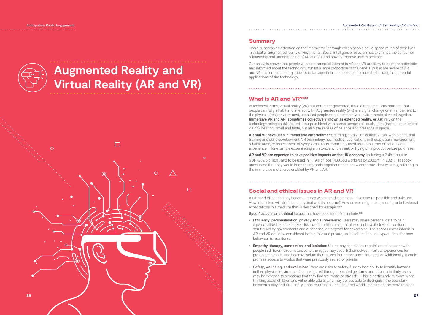# **Augmented Reality and Virtual Reality (AR and VR)**



Anticipatory Public Engagement

# **Summary**

There is increasing attention on the "metaverse", through which people could spend much of their lives in virtual or augmented reality environments. Social intelligence research has examined the consumer relationship and understanding of AR and VR, and how to improve user experience.

Our analysis shows that people with a commercial interest in AR and VR are likely to be more optimistic and informed about the technology. Whilst a large proportion of the general public are aware of AR and VR, this understanding appears to be superficial, and does not include the full range of potential applications of the technology.

In technical terms, virtual reality (VR) is a computer generated, three-dimensional environment that people can fully inhabit and interact with. Augmented reality (AR) is a digital change or enhancement to the physical (real) environment, such that people experience the two environments blended together. **Immersive VR and AR (sometimes collectively known as extended reality, or XR)** rely on the technology being sophisticated enough to blend with human senses of touch, sight (including peripheral vision), hearing, smell and taste, but also the senses of balance and presence in space.

# **What is AR and VR?<sup>100</sup>**

As AR and VR technology becomes more widespread, questions arise over responsible and safe use. How interlinked will virtual and physical worlds become? How do we assign rules, morals, or behavioural expectations in a medium that is designed for escapism?

**Specific social and ethical issues** that have been identified include:<sup>102</sup>

**AR and VR have uses in immersive entertainment**; gaming; data visualisation; virtual workplaces; and training and skills development. VR technology has medical applications in therapy, pain management, rehabilitation, or assessment of symptoms. AR is commonly used as a consumer or educational experience – for example experiencing a historic environment, or trying on a product before purchase.

**AR and VR are expected to have positive impacts on the UK economy**, including a 2.4% boost to GDP (£62.5 billion), and to be used in 1.19% of jobs (400,663 workers) by 2030. 101 In 2021, Facebook announced that they would bring their brands together under a new corporate identity 'Meta', referring to the immersive metaverse enabled by VR and AR.

# **Social and ethical issues in AR and VR**

- **Efficiency, personalisation, privacy and surveillance:** Users may share personal data to gain a personalised experience, yet risk their identities being mimicked, or have their virtual actions scrutinised by governments and authorities, or targeted for advertising. The spaces users inhabit in AR and VR could be considered both public and private, so it is difficult to set expectations for how behaviour is monitored.
- **Empathy, therapy, connection, and isolation:** Users may be able to empathise and connect with people in different circumstances to them, yet may absorb themselves in virtual experiences for prolonged periods, and begin to isolate themselves from other social interaction. Additionally, it could promise access to worlds that were previously sacred or private.
- **Safety, wellbeing, and exclusion:** There are risks to safety if users lose ability to identify hazards in their physical environment, or are injured through repeated gestures or motions; similarly users may be exposed to situations that they find traumatic or stressful. This is particularly relevant when thinking about children and vulnerable adults who may be less able to distinguish the boundary between reality and XR**.** Finally, upon returning to the unaltered world, users might be more tolerant

# Augmented Reality and Virtual Reality (AR and VR)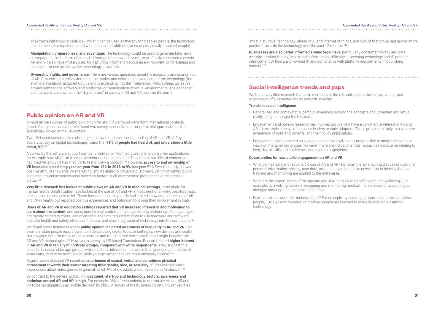### Augmented Reality and Virtual Reality (AR and VR)

of extreme behaviour or violence. Whilst it can be used as therapy for disabled people, the technology has not been developed or tested with people of all abilities (for example, visually impaired people).

- **Manipulation, preparedness, and advantage:** The technology could be used to generate fake news or propaganda in the form of amended footage of real-world events, or artificially constructed events. AR and VR also have military uses for capturing information about an environment, or for training and testing, or for use as an invasive technology in warfare.
- **Ownership, rights, and governance:** There are various questions about the inclusivity and economics of XR. Few companies may dominate the market and control the governance of the technology (for example, Facebook acquired Oculus and is expanding into the 'metaverse'), which brings up issues around rights to the software and platforms, or monetisation of virtual environments. The economic cost to users could worsen the "digital divide" in society if AR and VR become the norm.

**Public opinion on AR and VR**

Almost all the sources of public opinion on AR and VR we found were from international contexts (non-UK, or global samples). We found two surveys, consultations, or public dialogue activities that specifically looked at the UK context.

**Users of AR and VR in education settings reported that VR increased interest in and motivation to learn about the content**, and consequently may contribute to longer-lasting proficiency. Disadvantages are mostly related to costs, lack of analysis, the time required to learn to use hardware and software, possible health and safety effects on the user, and slow integration of technology into the curriculum.<sup>107</sup>

Two UK-based surveys asked about general awareness and understanding of AR and VR. A Royal Society survey on digital technologies found that **78% of people had heard of, and understood a little about, VR.**<sup>103</sup>

We found some instances where **public opinion indicated awareness of inequality in AR and VR**. For example, older people report lower confidence using digital tools, or setting up new devices and digital literacy gaps exist for many of the vulnerable and marginalized communities that might benefit from AR and VR technologies.<sup>108</sup> However, a survey by US-based Touchstone Research found **higher interest in AR and VR in racially minoritized groups, compared with white respondents**. They suggest this could be because older age groups, which had less interest on the whole than younger generations of Americans, tend to be more White, while younger Americans are more ethnically diverse.<sup>109</sup>

A survey by the software support company GetApp limited their questions to consumer applications, for example how AR fits in to entertainment or shopping habits. They found that 39% of consumers had tried AR and 38% had tried VR to test or view a product.<sup>104</sup> However, **access to and ownership of VR headsets is declining year-on-year from 12% in 2018 to 9% last year**. <sup>105</sup> A Swedish study showed positive attitudes towards VR marketing, and its ability to influence customers, yet it highlighted public concerns around personalisation based on factors such as economic preferences or relationship status.<sup>106</sup>

**Very little research has looked at public views on AR and VR in medical settings**, particularly for mental health. Small studies have looked at the use of AR and VR in treatment of anxiety, post-traumatic stress disorder, and pain relief. These found that users typically had limited knowledge of the use of AR and VR in health, but reported positive experiences and optimism following their involvement in trials.

Regular users of social VR **reported experiences of sexual, verbal and sometimes physical harassment towards their avatar targeting their gender, race, or sexuality.**<sup>110</sup> This mirrors public experiences about video games in general, which 9% of UK adults would describe as "inclusive".<sup>111</sup>

By contrast to the general public, **in investment, start-up and technology sectors, awareness and optimism around AR and VR is high.** For example, 86% of respondents to one survey expect AR and VR to be "as ubiquitous as mobile devices" by 2025. A survey of the business community ranked it as

"most disruptive" technology, ahead of AI and internet of things, and 58% of that group had grown "more positive" towards the technology over the past 12 months.<sup>112</sup>

**Businesses are also better informed around legal risks**, particularly consumer privacy and data security, product liability/health and safety issues, difficulty in licensing technology and IP, potential infringement of third party–owned IP, and compliance with platform requirements in publishing content.<sup>113</sup>

# **Social intelligence trends and gaps**

We found very little research that asks members of the UK public about their views, values, and experiences of augmented reality and virtual reality.

# **Trends in social intelligence**

- Generalised and somewhat superficial awareness around the concepts of augmented and virtual reality is high amongst the UK public
- Engagement and opinion research has involved groups who have a commercial interest in VR and AR, for example surveys of business leaders or early adopters. Those groups are likely to have more awareness of risks and benefits, and their policy implications.
- Engagement has happened on a whole-population level, so it is not possible to analyse impacts or views on marginalised groups. However, there are indications that inequalities could arise relating to cost, digital skills and confidence, and user demographics.

# **Opportunities for new public engagement on AR and VR:**

- What defines safe and responsible use of AR and VR? For example, by ensuring discussions around personal information, privacy, user data, targeted advertising, fake news, risks of identity theft, or tracking and monitoring are applied to the metaverse.
- What are the opportunities of therapeutic use of AR and VR to benefit health and wellbeing? For example, by involving people in designing and monitoring medical interventions, or by opening up dialogue about potential mental health risks.
- How can virtual worlds be inclusive to all? For example, by ensuring groups such as women, older people, LBGTQ+ communities, or disabled people are listened to when developing AR and VR technology.

# Augmented Reality and Virtual Reality (AR and VR)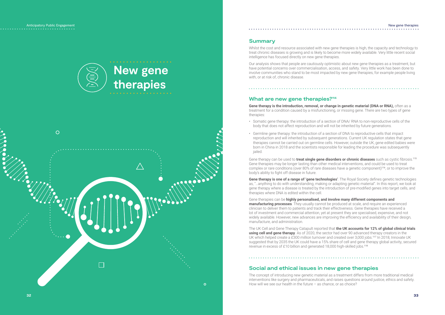Anticipatory Public Engagement

# **New gene therapies**  $\circ$  $\bullet$  $\Omega$

**32 33**

# **Summary**

Whilst the cost and resource associated with new gene therapies is high, the capacity and technology to treat chronic diseases is growing and is likely to become more widely available. Very little recent social intelligence has focused directly on new gene therapies.

**Gene therapy is the introduction, removal, or change in genetic material (DNA or RNA), often as a** treatment for a condition caused by a misfunctioning, or missing gene. There are two types of gene therapies:

Our analysis shows that people are cautiously optimistic about new gene therapies as a treatment, but have potential concerns over commercialisation, access, and safety. Very little work has been done to involve communities who stand to be most impacted by new gene therapies, for example people living with, or at risk of, chronic disease.

# **What are new gene therapies?<sup>114</sup>**

- Somatic gene therapy: the introduction of a section of DNA/ RNA to non-reproductive cells of the body that does not affect reproduction and will not be inherited by future generations.
- Germline gene therapy: the introduction of a section of DNA to reproductive cells that impact reproduction and will inherited by subsequent generations. Current UK regulation states that gene therapies cannot be carried out on germline cells. However, outside the UK, gene edited babies were born in China in 2018 and the scientists responsible for leading the procedure was subsequently jailed.

The concept of introducing new genetic material as a treatment differs from more traditional medical interventions like surgery and pharmaceuticals, and raises questions around justice, ethics and safety. How will we see our health in the future – as chance, or as choice?

Gene therapy can be used to **treat single gene disorders or chronic diseases** such as cystic fibrosis. 115 Gene therapies may be longer lasting than other medical interventions, and could be used to treat complex or rare conditions (over 80% of rare diseases have a genetic component) 116 , or to improve the body's ability to fight off disease in future.

**Gene therapy is one of a range of 'gene technologies'**. The Royal Society defines genetic technologies as, "…anything to do with understanding, making or adapting genetic material". In this report, we look at gene therapy where a disease is treated by the introduction of pre-modified genes into target cells, and therapies where DNA is edited within the cell.

Gene therapies can be **highly personalised, and involve many different components and manufacturing processes**. They usually cannot be produced at scale, and require an experienced clinician to deliver them to patients and track their effectiveness. Gene therapies have received a lot of investment and commercial attention, yet at present they are specialised, expensive, and not widely available. However, new advances are improving the efficiency and availability of their design, manufacture, and administration.

The UK Cell and Gene Therapy Catapult reported that **the UK accounts for 12% of global clinical trials using cell and gene therapy**. As of 2020, the sector had over 90 advanced therapy creators in the UK which helped create a £300 million turnover and created over 3,000 jobs.<sup>117</sup> In 2018, Innovate UK suggested that by 2035 the UK could have a 15% share of cell and gene therapy global activity, secured revenue in excess of £10 billion and generated 18,000 high-skilled jobs.<sup>118</sup>

# **Social and ethical issues in new gene therapies**

# New gene therapies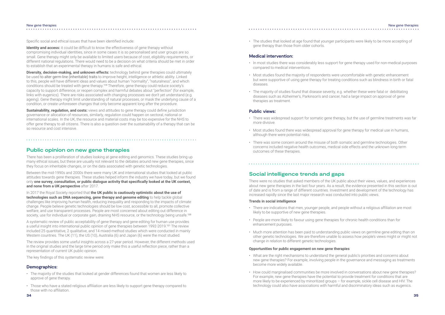Specific social and ethical issues that have been identified include:

**Identity and access:** it could be difficult to know the effectiveness of gene therapy without compromising individual identities, since in some cases it is so personalised and user groups are so small. Gene therapy might only be available to limited users because of cost, eligibility requirements, or different national regulations. There would need to be a decision on what criteria should be met in order to establish that an experimental therapy in humans is safe and ethical.

**Diversity, decision-making, and unknown effects:** technology behind gene therapies could ultimately be used to alter germ-line (inheritable) traits to improve height, intelligence or athletic ability. Linked to this, people will have different ideas and values about human "normality", "naturalness", and which conditions should be treated with gene therapy.<sup>119</sup> Therefore, gene therapy could reduce society's capacity to support difference, or reopen complex and harmful debates about "perfection" (for example, links with eugenics). There are risks associated with changing processes we don't yet understand (e.g. ageing). Gene therapy might limit understanding of natural processes, or mask the underlying cause of a condition, or create unforeseen changes that only become apparent long after the procedure.

**Sustainability, regulation, and costs:** views and attitudes to gene therapy could define jurisdiction governance or allocation of resources, similarly, regulation could happen on sectoral, national or international scales. In the UK, the resource and material costs may be too expensive for the NHS to offer gene therapy to all citizens. There is also a question over the sustainability of a therapy that can be so resource and cost intensive.

In 2017 the Royal Society reported that **the UK public is cautiously optimistic about the use of technologies such as DNA sequencing, gene therapy and genome editing** to help tackle global challenges like improving human health, reducing inequality and responding to the impacts of climate change. People believe genetic technologies should be low cost, accessible to all, promote collective welfare, and use transparent processes. People are most concerned about editing out difference in society, use for individual or corporate gain, draining NHS resource, or the technology being unsafe.<sup>120</sup>

A systematic review of public acceptability of gene therapy and gene editing for human use provides a useful insight into international public opinion of gene therapies between 1992-2019.<sup>121</sup> The review included 25 quantitative, 2 qualitative, and 14 mixed-method studies which were conducted in mainly Western countries. The UK (11), the US (10), Australia (6) and Japan (6) were the most studied.

# **Public opinion on new gene therapies**

There has been a proliferation of studies looking at gene editing and genomics. These studies bring up many ethical issues, but these are usually not relevant to the debates around new gene therapies, since they focus on inheritable changes, or on the data associated with genetic technologies.

Between the mid-1990s and 2000s there were many UK and international studies that looked at public attitudes towards gene therapies. These studies helped inform the industry we have today, but we found only **one survey, consultation, or public dialogue activity that specifically looked at the UK context, and none from a UK perspective** after 2017.

# New gene therapiesin a construction of the construction of the construction of the construction of the construction of the construction of the construction of the construction of the construction of the construction of the construction of t

# 

The review provides some useful insights across a 27-year period. However, the different methods used in the original studies and the large time period only make this a useful reflection piece, rather than a representation of current UK public opinion.

The key findings of this systematic review were:

# **Demographics:**

- The majority of the studies that looked at gender differences found that women are less likely to approve of gene therapy.
- Those who have a stated religious affiliation are less likely to support gene therapy compared to those with no affiliation.

• The studies that looked at age found that younger participants were likely to be more accepting of gene therapy than those from older cohorts.

# **Medical intervention:**

- In most studies there was considerably less support for gene therapy used for non-medical purposes compared to medical interventions.
- Most studies found the majority of respondents were uncomfortable with genetic enhancement but were supportive of using gene therapy for treating conditions such as blindness in birth or fatal diseases.
- The majority of studies found that disease severity, e.g. whether these were fatal or debilitating diseases such as Alzheimer's, Parkinson's and cancer, had a large impact on approval of gene therapies as treatment.

# **Public views:**

- There was widespread support for somatic gene therapy, but the use of germline treatments was far more divisive.
- Most studies found there was widespread approval for gene therapy for medical use in humans, although there were potential risks.
- There was some concern around the misuse of both somatic and germline technologies. Other concerns included negative health outcomes, medical side effects and the unknown long-term outcomes of these therapies.

**Social intelligence trends and gaps** 

There were no studies that asked members of the UK public about their views, values, and experiences about new gene therapies in the last four years. As a result, the evidence presented in this section is out of date and is from a range of different countries. Investment and development of the technology has increased rapidly since the last major research was conducted into public views.

# **Trends in social intelligence**

- There are indications that men, younger people, and people without a religious affiliation are most likely to be supportive of new gene therapies.
- People are more likely to favour using gene therapies for chronic health conditions than for enhancement purposes.
- Much more attention has been paid to understanding public views on germline gene editing than on other genetic technologies. We are therefore unable to assess how people's views might or might not change in relation to different genetic technologies.

# **Opportunities for public engagement on new gene therapies**

- What are the right mechanisms to understand the general public's priorities and concerns about new gene therapies? For example, involving people in the governance and messaging as treatments become more widely available.
- How could marginalised communities be more involved in conversations about new gene therapies? For example, new gene therapies have the potential to provide treatment for conditions that are more likely to be experienced by minoritized groups – for example, sickle cell disease and HIV. The technology could also have associations with harmful and discriminatory ideas such as eugenics.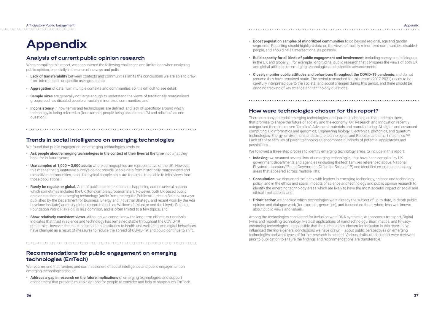- **Boost population samples of minoritized communities** to go beyond regional, age and gender segments. Reporting should highlight data on the views of racially minoritized communities, disabled people, and should be as intersectional as possible.
- **Build capacity for all kinds of public engagement and involvement**, including surveys and dialogues in the UK and globally – for example, longitudinal public research that compares the views of both UK and global attitudes on emerging technologies and scientific advancements.
- **Closely monitor public attitudes and behaviours throughout the COVID-19 pandemic**, and do not assume they have remained static. The period researched for this report (2017-2021) needs to be carefully interpreted due to the societal and social changes during this period, and there should be ongoing tracking of key science and technology questions.

# **How were technologies chosen for this report?**

There are many potential emerging technologies, and 'parent' technologies that underpin them, that promise to shape the future of society and the economy. UK Research and Innovation recently categorised them into seven "families": Advanced materials and manufacturing; AI, digital and advanced computing; Bioinformatics and genomics; Engineering biology; Electronics, photonics, and quantum technologies; Energy, environment, and climate technologies; and Robotics and smart machines.<sup>122</sup> Each of these families of parent technologies encompass hundreds of potential applications and possibilities.

We followed a three-step process to identify emerging technology areas to include in this report:

Anticipatory Public Engagement . . . . . . . . . . . . .

- **Indexing:** we scanned several lists of emerging technologies that have been compiled by UK government departments and agencies (including the tech families referenced above, National Physical Laboratory<sup>123</sup>, and Government Office for Science <sup>124</sup>) and identified emerging technology areas that appeared across multiple lists;
- **Consultation:** we discussed the index with leaders in emerging technology, science and technology policy, and in the ethics and social impacts of science and technology and public opinion research to identify the emerging technology areas which are likely to have the most societal impact or social and ethical implications; and
- **Prioritisation:** we checked which technologies were already the subject of up-to-date, in-depth public opinion and dialogue work (for example, genomics), and focused on those where less was known about public views and values.

Among the technologies considered for inclusion were DNA synthesis, Autonomous transport, Digital twins and modelling technology, Medical applications of nanotechnology, Biomimetics, and Privacyenhancing technologies. It is possible that the technologies chosen for inclusion in this report have influenced the more general conclusions we have drawn – about public perspectives on emerging technologies and what types of further research is needed. Various drafts of this report were reviewed prior to publication to ensure the findings and recommendations are transferable.

# Appendix

# **Appendix**

# **Analysis of current public opinion research**

When compiling this report, we encountered the following challenges and limitations when analysing public opinion, especially in the case of surveys and polls:

- **Lack of transferability** between contexts and communities limits the conclusions we are able to draw from international, or specific user-group data;
- **Aggregation** of data from multiple contexts and communities so it is difficult to see detail;
- **Sample sizes** are generally not large enough to understand the views of traditionally marginalised groups, such as disabled people or racially minoritized communities; and
- **Inconsistency** in how terms and technologies are defined, and lack of specificity around which technology is being referred to (for example, people being asked about "AI and robotics" as one question).

# **Trends in social intelligence on emerging technologies**

We found that public engagement on emerging technologies tends to:

- **Ask people about emerging technologies in the context of their lives at the time**, not what they hope for in future years;
- **Use samples of 1,000 3,000 adults** where demographics are representative of the UK. However, this means that quantitative surveys do not provide usable data from historically marginalised and minoritized communities, since the typical sample sizes are too small to be able to infer views from those populations;
- **Rarely be regular, or global.** A lot of public opinion research is happening across several nations, which sometimes included the UK (for example Eurobarometer). However, both UK-based public opinion research on emerging technology (aside from the regular Public Attitudes to Science surveys published by the Department for Business, Energy and Industrial Strategy, and recent work by the Ada Lovelace Institute) and truly global research (such as Wellcome's Monitor and the Lloyd's Register Foundation World Risk Poll) is less common, and is often limited to a few topics; and
- **Show relatively consistent views.** Although we cannot know the long-term effects, our analysis indicates that trust in science and technology has remained stable throughout the COVID-19 pandemic. However, there are indications that attitudes to health and wellbeing, and digital behaviours have changed as a result of measures to reduce the spread of COVID-19, and could continue to shift.

# **Recommendations for public engagement on emerging technologies (EmTech)**

We recommend that funders and commissioners of social intelligence and public engagement on emerging technologies should:

• **Address a gap in research on the future implications** of emerging technologies, and support engagement that presents multiple options for people to consider and help to shape such EmTech.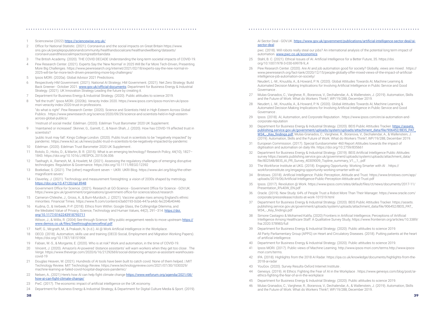# AI Sector Deal - GOV.UK. https://www.gov.uk/government/publications/artificial-intelligence-sector-deal/ai-

# sector-deal

 pwc. (2018). Will robots really steal our jobs? An international analysis of the potential long term impact of automation. www.pwc.co.uk/economics

- 25 Stahl, B. C. (2021). Ethical Issues of AI. Artificial Intelligence for a Better Future, 35. https://doi. org/10.1007/978-3-030-69978-9\_4
- 26 Pew Research Center. (2020). Are AI and job automation good for society? Globally, views are mixed . https:// www.pewresearch.org/fact-tank/2020/12/15/people-globally-offer-mixed-views-of-the-impact-of-artificialintelligence-job-automation-on-society/

 Neudert, L.-M., Knuutila, A., & Howard, P. N. (2020). Global Attitudes Towards AI, Machine Learning & Automated Decision Making Implications for Involving Artificial Intelligence in Public Service and Good Governance .

29 Ipsos. (2018). AI, Automation, and Corporate Reputation . https://www.ipsos.com/en/ai-automation-and-

32 Department for Business Energy & Industrial Strategy. (2019). BEIS Artificial Intelligence Public Attitudes

- 27 Mulas-Granados, C., Varghese, R., Boranova, V., Dechalendar, A., & Wallenstein, J. (2019). Automation, Skills and the Future of Work: What do Workers Think?, WP/19/288, December 2019.
- 28 Neudert, L.-M., Knuutila, A., & Howard, P. N. (2020). Global Attitudes Towards AI, Machine Learning & Automated Decision Making Implications for Involving Artificial Intelligence in Public Service and Good **Governance**
- corporate-reputation
- 30 Department for Business Energy & Industrial Strategy. (2020). BEIS Public Attitudes Tracker. https://assets. publishing.service.gov.uk/government/uploads/system/uploads/attachment\_data/file/906452/BEIS\_PAT\_ Waard Museum Charles Community of Charles C., Varghese, R., Boranova, V., Dechalendar, A., & Wallenstein, J. (2019). Automation, Skills and the Future of Work: What do Workers Think?, WP/19/288, December 2019.
- 31 European Commission. (2017). Special Eurobarometer 460 Report Attitudes towards the impact of digitisation and automation on daily life. https://doi.org/10.2759/835661
- survey https://assets.publishing.service.gov.uk/government/uploads/system/uploads/attachment\_data/ file/802548/BEIS\_AI\_PR\_Survey\_40309009\_Topline\_summary\_V1\_\_1\_.pdf
- 33 The Workforce Institute at UKG. (2018). Engaging Opportunity: Working Smarter with AI . https:// workforceinstitute.org/engaging-opportunity-working-smarter-with-ai/
- 34 Bristows. (2018). Artificial Intelligence: Public Perception, Attitude and Trust. https://www.bristows.com/app/ uploads/2019/06/Artificial-Intelligence-Public-Perception-Attitude-and-Trust.pdf
- 35 Ipsos. (2017). Revolution @ Work. https://www.ipsos.com/sites/default/files/ct/news/documents/2017-11/ Presentation\_R%40W\_EN.pdf
- 36 Oracle. (2019). New Study: 64% of People Trust a Robot More Than Their Manager. https://www.oracle.com/ corporate/pressrelease/robots-at-work-101519.html
- 37 Department for Business Energy & Industrial Strategy. (2020). BEIS Public Attitudes Tracker. https://assets. publishing.service.gov.uk/government/uploads/system/uploads/attachment\_data/file/906452/BEIS\_PAT\_ W34\_-\_Key\_findings.pdf
- 38 Simone Castagno & Mohamed Kalifa, (2020) Frontiers in Artificial Intelligence, Perceptions of Artificial frai.2020.578983/full
- 39 Department for Business Energy & Industrial Strategy. (2020). Public attitudes to science 2019. of artificial intelligence.
- 40 Department for Business Energy & Industrial Strategy. (2020). Public attitudes to science 2019.
- 41 Ipsos MORI. (2017). Public views of Machine Learning. http://www.ipsos-mori.com/terms.http://www.ipsosmori.com/terms.
- 2018-ai-radar
- 43 YouGov. (2020). Survey Results-Oxford Internet Institute
- 44 Genesys. (2019). AI Ethics: Fighting the Fear of AI in the Workplace . https://www.genesys.com/blog/post/aiethics-fighting-the-fear-of-ai-in-the-workplace
- 45 Department for Business Energy & Industrial Strategy. (2020). Public attitudes to science 2019.
- 46 Mulas-Granados, C., Varghese, R., Boranova, V., Dechalendar, A., & Wallenstein, J. (2019). Automation, Skills and the Future of Work: What do Workers Think?, WP/19/288, December 2019.

# 

Intelligence Among Healthcare Staff: A Qualitative Survey Study, https://www.frontiersin.org/articles/10.3389/

All Party Parliamentary Group (APPG) on Heart and Circulatory Diseases. (2018). Putting patients at the heart

42 IPA. (2018). Highlights from the 2018 AI Radar. https://ipa.co.uk/knowledge/documents/highlights-from-the-

Wilson, J., & Willis, R. (2004) See-through Science: Why public engagement needs to move upstream https:// www.demos.co.uk/files/Seethroughsciencefinal.pdf

# 1 Sciencewise (2022) https://sciencewise.org.uk/

- 2 Office for National Statistic. (2021). Coronavirus and the social impacts on Great Britain https://www. ons.gov.uk/peoplepopulationandcommunity/healthandsocialcare/healthandwellbeing/datasets/ coronavirusandthesocialimpactsongreatbritaindata
- 3 The British Academy. (2020). THE COVID DECADE Understanding the long-term societal impacts of COVID-19.

- 4 Pew Research Center. (2021). Experts Say the 'New Normal' in 2025 Will Be Far More Tech-Driven, Presenting More Big Challenges. https://www.pewresearch.org/internet/2021/02/18/experts-say-the-new-normal-in-2025-will-be-far-more-tech-driven-presenting-more-big-challenges/
- 5 Ipsos MORI. (2020a). Global Advisor 2021 Predictions.
- 6 Respectively HM Government. (2021). National AI Strategy; HM Government. (2021). Net Zero Strategy: Build Back Greener - October 2021. www.gov.uk/official-documents; Department for Business Energy & Industrial Strategy. (2021). UK Innovation Strategy Leading the future by creating it.
- 7 Department for Business Energy & Industrial Strategy. (2020). Public attitudes to science 2019.
- 8 "tell the truth": Ipsos MORI. (2020b). Veracity Index 2020. https://www.ipsos.com/ipsos-mori/en-uk/ipsosmori-veracity-index-2020-trust-in-professions.

 "do what is right": Pew Research Center. (2020). Science and Scientists Held in High Esteem Across Global Publics . https://www.pewresearch.org/science/2020/09/29/science-and-scientists-held-in-high-esteemacross-global-publics/.

'mistrust of social media': Edelman. (2020). Edelman Trust Barometer 2020 UK Supplement.

9 'maintained or increased': Skinner, G., Garrett, C., & Navin Shah, J. (2020). How has COVID-19 affected trust in scientists?

 'public trust may fall': Kings College London. (2020). Public trust in scientists to be "negatively impacted" by pandemic. https://www.kcl.ac.uk/news/public-trust-in-scientists-to-be-negatively-impacted-by-pandemic

- 10 Edelman. (2020). Edelman Trust Barometer 2020 UK Supplement .
- 11 Rotolo, D., Hicks, D., & Martin, B. R. (2015). What is an emerging technology? Research Policy, 44(10), 1827– 1843. https://doi.org/10.1016/J.RESPOL.2015.06.006
- 12 Taeihagh, A., Ramesh, M., & Howlett, M. (2021). Assessing the regulatory challenges of emerging disruptive technologies. Regulation & Governance. https://doi.org/10.1111/REGO.12392
- 13 Boekelaar, S. (2021). The (other) magnificent seven UKRI. UKRI Blog. https://www.ukri.org/blog/the-othermagnificent-seven/
- 14 Claverley, J. (2021). Technology and measurement foresighting: a vision of 2030s shaped by metrology. https://doi.org/10.47120/npl.8948

 Government Office for Science. (2021). Research at GO-Science - Government Office for Science - GOV.UK. https://www.gov.uk/government/organisations/government-office-for-science/about/research

- 15 Cameron-Chileshe, J., Gross, A., & Burn-Murdoch, J. (2021). Vaccine uptake rises among England's ethnic minorities. Financial Times. https://www.ft.com/content/e3a60193-0cb6-447a-a4dc-fec204b40446
- 16 Kudina, O., & Verbeek, P.-P. (2018). Ethics from Within: Google Glass, the Collingridge Dilemma, and the Mediated Value of Privacy, Science, Technology and Human Values, 44(2), 291-314. https://doi. org/10.1177/0162243918793711

- 17 Neff, G., Mcgrath, M., & Prakash, N. (n.d.). AI @ Work Artificial Intelligence in the Workplace.
- 18 OECD. (2018). Automation, skills use and training (OECD Social, Employment and Migration Working Papers). https://doi.org/10.1787/1815199X
- 19 Fabian, W.-S., & Morgante, E. (2020). Who is at risk? Work and automation, in the time of COVID-19.
- 20 Vincent, J. (2020). Amazon's AI-powered 'distance assistants' will warn workers when they get too close . The Verge. https://www.theverge.com/2020/6/16/21292669/social-distancing-amazon-ai-assistant-warehousescovid-19
- 21 Douglas Heaven, W. (2021). Hundreds of AI tools have been built to catch covid. None of them helped. | MIT Technology Review. MIT Technology Review. https://www.technologyreview.com/2021/07/30/1030329/ machine-learning-ai-failed-covid-hospital-diagnosis-pandemic/
- 22 Nelsen, A., (2021) Here's how AI can help fight climate change https://www.weforum.org/agenda/2021/08/ how-ai-can-fight-climate-change/
- 23 PwC. (2017). The economic impact of artificial intelligence on the UK economy.
- 24 Department for Business Energy & Industrial Strategy, & Department for Digital Culture Media & Sport. (2019).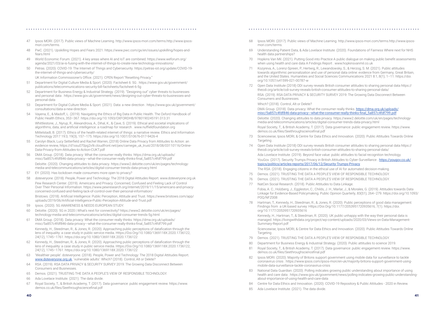- 47 Ipsos MORI. (2017). Public views of Machine Learning. http://www.ipsos-mori.com/terms.http://www.ipsosmori.com/terms.
- 48 PwC. (2021). Upskilling Hopes and Fears 2021. https://www.pwc.com/gx/en/issues/upskilling/hopes-andfears.html
- 49 World Economic Forum. (2021). 4 key areas where AI and IoT are combined. https://www.weforum.org/ agenda/2021/03/ai-is-fusing-with-the-internet-of-things-to-create-new-technology-innovations/
- 50 Petras. (2020). COVID-19: The Internet of Things and Cybersecurity. https://petras-iot.org/update/COVID-19 the-internet-of-things-and-cybersecurity/
	- UK Information Commissioner's Office. (2021). CPEN Report "Resetting Privacy."
- 51 Department for Digital Culture Media & Sport. (2020). Factsheet 6: 5G . https://www.gov.uk/government/ publications/telecommunications-security-bill-factsheets/factsheet-6-5g
- 52 Department for Business Energy & Industrial Strategy. (2019). "Designing out" cyber threats to businesses and personal data . https://www.gov.uk/government/news/designing-out-cyber-threats-to-businesses-andpersonal-data
- 53 Department for Digital Culture Media & Sport. (2021). Data: a new direction . https://www.gov.uk/government/ consultations/data-a-new-direction
- 54 Vayena, E., & Madoff, L. (2019). Navigating the Ethics of Big Data in Public Health. The Oxford Handbook of Public Health Ethics, 353–367. https://doi.org/10.1093/OXFORDHB/9780190245191.013.31 Whittlestone, J., Nyrup, R., Alexandrova, A., Dihal, K., & Cave, S. (2019). Ethical and societal implications of algorithms, data, and artificial intelligence: a roadmap for research . www.nuffieldfoundation.org Mittelstadt, B. (2017). Ethics of the health-related internet of things: a narrative review. Ethics and Information Technology 2017 19:3, 19(3), 157–175. https://doi.org/10.1007/S10676-017-9426-4
- 55 Carolyn Black, Lucy Setterfield and Rachel Warren, (2018) Online Data Privacy from Attitudes to Action: an evidence review, https://d1ssu070pg2v9i.cloudfront.net/pex/carnegie\_uk\_trust/2018/08/03110116/Online-Data-Privacy-from-Attitudes-to-Action-CUKT.pdf
- 56 DMA Group. (2018). Data privacy: What the consumer really thinks. https://dma.org.uk/uploads/ misc/5a857c4fdf846-data-privacy---what-the-consumer-really-thinks-final\_5a857c4fdf799.pdf Deloitte. (2020). Changing attitudes to data privacy. https://www2.deloitte.com/uk/en/pages/technologymedia-and-telecommunications/articles/digital-consumer-trends-data-privacy.html
- 57 EY. (2020). Has lockdown made consumers more open to privacy?
- 58 doteveryone. (2018). People, Power and Technology: The 2018 Digital Attitudes Report. www.doteveryone.org.uk Pew Research Center. (2019). Americans and Privacy: Concerned, Confused and Feeling Lack of Control Over Their Personal Information. https://www.pewresearch.org/internet/2019/11/15/americans-and-privacyconcerned-confused-and-feeling-lack-of-control-over-their-personal-information/ Bristows. (2018). Artificial Intelligence: Public Perception, Attitude and Trust. https://www.bristows.com/app/ uploads/2019/06/Artificial-Intelligence-Public-Perception-Attitude-and-Trust.pdf
- 59 Ipsos. (2020). 5G AWARENESS & NEEDS EUROPEAN STUDY.
- 60 Deloitte. (2020). 5G in 2020 | What's next for connectivity? https://www2.deloitte.com/uk/en/pages/ technology-media-and-telecommunications/articles/digital-consumer-trends-5g.html
- 61 DMA Group. (2018). Data privacy: What the consumer really thinks. https://dma.org.uk/uploads/ misc/5a857c4fdf846-data-privacy---what-the-consumer-really-thinks-final\_5a857c4fdf799.pdf

 Kennedy, H., Steedman, R., & Jones, R. (2020). Approaching public perceptions of datafication through the lens of inequality: a case study in public service media. Https://Doi.Org/10.1080/1369118X.2020.1736122, 24(12), 1745–1761. https://doi.org/10.1080/1369118X.2020.1736122

 Kennedy, H., Hartman, T., & Steedman, R. (2020). UK public unhappy with the way their personal data is managed. https://livingwithdata.org/project/wp-content/uploads/2020/03/Views-on-Data-Management-Summary-Report pdf

 Sciencewise, Ipsos MORI, & Centre for Data Ethics and Innovation. (2020). Public Attitudes Towards Online **Targeting** 

- 62 Kennedy, H., Steedman, R., & Jones, R. (2020). Approaching public perceptions of datafication through the lens of inequality: a case study in public service media. Https://Doi.Org/10.1080/1369118X.2020.1736122, 24(12), 1745–1761. https://doi.org/10.1080/1369118X.2020.1736122
- 63 'Wealthier people': doteveryone. (2018). People, Power and Technology: The 2018 Digital Attitudes Report. www.doteveryone.org.uk. 'vulnerable adults': Which? (2018). Control, Alt or Delete?
- 64 RSA. (2019). RSA DATA PRIVACY & SECURITY SURVEY 2019: The Growing Data Disconnect Between Consumers and Businesses.
- 65 Demos. (2021). TRUSTING THE DATA A PEOPLE'S VIEW OF RESPONSIBLE TECHNOLOGY.
- 66 Ada Lovelace Institute. (2021). The data divide.
- 67 Royal Society, T., & British Academy, T. (2017). Data governance: public engagement review. https://www. demos.co.uk/files/Seethroughsciencefinal.pdf
- 68 Ipsos MORI. (2017). Public views of Machine Learning. http://www.ipsos-mori.com/terms.http://www.ipsosmori.com/terms.
- 69 Understanding Patient Data, & Ada Lovelace Institute. (2020). Foundations of Fairness Where next for NHS health data partnerships?
- 70 Hopkins Van Mil. (2021). Putting Good into Practice A public dialogue on making public benefit assessments when using health and care data A Findings Report . www.hopkinsvanmil.co.uk
- 71 Kozyreva, A., Lorenz-Spreen, P., Hertwig, R., Lewandowsky, S., & Herzog, S. M. (2021). Public attitudes towards algorithmic personalization and use of personal data online: evidence from Germany, Great Britain, and the United States. Humanities and Social Sciences Communications 2021 8:1, 8(1), 1–11. https://doi. org/10.1057/s41599-021-00787-w
- 72 Open Data Institute (2018) ODI survey reveals British consumer attitudes to sharing personal data https:// theodi.org/article/odi-survey-reveals-british-consumer-attitudes-to-sharing-personal-data/ RSA. (2019). RSA DATA PRIVACY & SECURITY SURVEY 2019: The Growing Data Disconnect Between Consumers and Businesses.

Which? (2018). Control, Alt or Delete?

DMA Group. (2018). Data privacy: What the consumer really thinks. https://dma.org.uk/uploads/

# misc/5a857c4fdf846-data-privacy---what-the-consumer-really-thinks-final\_5a857c4fdf799.pdf

 Deloitte. (2020). Changing attitudes to data privacy. https://www2.deloitte.com/uk/en/pages/technologymedia-and-telecommunications/articles/digital-consumer-trends-data-privacy.html Royal Society, T., & British Academy, T. (2017). Data governance: public engagement review. https://www. demos.co.uk/files/Seethroughsciencefinal.pdf

The RSA. (2018). Engaging citizens in the ethical use of AI for automated decision-making.

- 73 Sciencewise, Ipsos MORI, & Centre for Data Ethics and Innovation. (2020). Public Attitudes Towards Online **Targeting**
- 74 Open Data Institute (2018) ODI survey reveals British consumer attitudes to sharing personal data https:// theodi.org/article/odi-survey-reveals-british-consumer-attitudes-to-sharing-personal-data/ Ada Lovelace Institute. (2019). Beyond face value: public attitudes to facial recognition technology. YouGov. (2017). Security Trumps Privacy in British Attitudes to Cyber-Surveillance . https://yougov.co.uk/ topics/politics/articles-reports/2017/06/12/Security-Trumps-Privacy
- 
- 
- 77 NatCen Social Research. (2018). Public Attitudes to Data Linkage.
	- Fobia, A. C., Holzberg, J., Eggleston, C., Childs, J. H., Marlar, J., & Morales, G. (2019). Attitudes towards Data POQ/NFZ008
- 78 Hartman, T., Kennedy, H., Steedman, R., & Jones, R. (2020). Public perceptions of good data management: Findings from a UK-based survey: Https://Doi.Org/10.1177/2053951720935616, 7(1). https://doi. org/10.1177/2053951720935616

75 Demos. (2021). TRUSTING THE DATA A PEOPLE'S VIEW OF RESPONSIBLE TECHNOLOGY.

76 Demos. (2021). TRUSTING THE DATA A PEOPLE'S VIEW OF RESPONSIBLE TECHNOLOGY.

Linkage for Evidence-Based Policymaking. Public Opinion Quarterly, 83(S1), 264–279. https://doi.org/10.1093/

- 79 Demos. (2021). TRUSTING THE DATA A PEOPLE'S VIEW OF RESPONSIBLE TECHNOLOGY.
- 80 Department for Business Energy & Industrial Strategy. (2020). Public attitudes to science 2019.
- 81 Royal Society, T., & British Academy, T. (2017). Data governance: public engagement review. https://www. demos.co.uk/files/Seethroughsciencefinal.pdf
- 82 Ipsos MORI. (2020). Majority of Britons support government using mobile data for surveillance to tackle coronavirus crisis . https://www.ipsos.com/ipsos-mori/en-uk/majority-britons-support-government-usingmobile-data-surveillance-tackle-coronavirus-crisis
- 83 National Data Guardian. (2020). Polling indicates growing public understanding about importance of using about-importance-of-using-health-and-care-data
- 84 Centre for Data Ethics and Innovation. (2020). COVID-19 Repository & Public Attitudes 2020 in Review.
- 85 Ada Lovelace Institute. (2021). The data divide.

health and care data . https://www.gov.uk/government/news/polling-indicates-growing-public-understanding-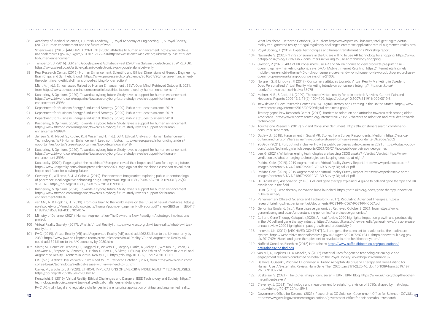86 Academy of Medical Sciences, T., British Academy, T., Royal Academy of Engineering, T., & Royal Society, T. (2012). Human enhancement and the future of work .

 Sciencewise. (2015). [ARCHIVED CONTENT] Public attitudes to human enhancement. https://webarchive. nationalarchives.gov.uk/ukgwa/20170712122550/http://www.sciencewise-erc.org.uk/cms/public-attitudesto-human-enhancement

- 87 Temperton, J. (2016). GSK and Google parent Alphabet invest £540m in Galvani Bioelectronics . WIRED UK. https://www.wired.co.uk/article/galvani-bioelectronics-gsk-google-alphabet-verily
- 88 Pew Research Center. (2016). Human Enhancement: Scientific and Ethical Dimensions of Genetic Engineering, Brain Chips and Synthetic Blood . https://www.pewresearch.org/science/2016/07/26/human-enhancementthe-scientific-and-ethical-dimensions-of-striving-for-perfection/ Miah, A. (n.d.). Ethics Issues Raised by Human Enhancement . BBVA OpenMind. Retrieved October 8, 2021, from https://www.bbvaopenmind.com/en/articles/ethics-issues-raised-by-human-enhancement/
- 89 Kasperksy, & Opinium. (2020). Towards a cyborg future: Study reveals support for human enhancement. https://www.trtworld.com/magazine/towards-a-cyborg-future-study-reveals-support-for-humanenhancement-39984
- 90 Department for Business Energy & Industrial Strategy. (2020). Public attitudes to science 2019.
- 91 Department for Business Energy & Industrial Strategy. (2020). Public attitudes to science 2019.
- 92 Department for Business Energy & Industrial Strategy. (2020). Public attitudes to science 2019.
- 93 Kasperksy, & Opinium. (2020). Towards a cyborg future: Study reveals support for human enhancement. https://www.trtworld.com/magazine/towards-a-cyborg-future-study-reveals-support-for-humanenhancement-39984
- Jensen, S. R., Nagel, S., Kudlek, K., & Wiseman, H. (n.d.). D3.4: Ethical Analysis of Human Enhancement Technologies [WP3-Human Enhancement] Lead contributor. https://ec.europa.eu/info/fundingtenders/ opportunities/portal/screen/opportunities/topic-details/swafs-18-
- 95 Kasperksy, & Opinium. (2020). Towards a cyborg future: Study reveals support for human enhancement. https://www.trtworld.com/magazine/towards-a-cyborg-future-study-reveals-support-for-humanenhancement-39984

 Kaspersky. (2021). Rage against the machines? European reveal their hopes and fears for a cyborg future. https://www.kaspersky.com/about/press-releases/2021\_rage-against-the-machines-european-reveal-theirhopes-and-fears-for-a-cyborg-future

- 96 Coveney, C., Williams, S. J., & Gabe, J. (2019). Enhancement imaginaries: exploring public understandings of pharmaceutical cognitive enhancing drugs. Https://Doi.Org/10.1080/09687637.2019.1593318, 26(4), 319–328. https://doi.org/10.1080/09687637.2019.1593318
- 97 Kasperksy, & Opinium. (2020). Towards a cyborg future: Study reveals support for human enhancement. https://www.trtworld.com/magazine/towards-a-cyborg-future-study-reveals-support-for-humanenhancement-39984
- 98 van Mill, A., & Hopkins, H. (2019). From our brain to the world: views on the future of neural interfaces. https:// royalsociety.org/-/media/policy/projects/ihuman/public-engagement-full-report.pdf?la=en-GB&hash=5B6417 E1881961853318F4CD570CA07A
- 99 Ministry of Defence. (2021). Human Augmentation-The Dawn of a New Paradigm A strategic implications project.
- 100 Virtual Reality Society. (2017). What is Virtual Reality? . https://www.vrs.org.uk/virtual-reality/what-is-virtualreality.html
- 101 PwC. (2019). Virtual Reality (VR) and Augmented Reality (AR) could add £62.5 billion to the UK economy by 2030. https://www.pwc.co.uk/press-room/press-releases/Virtual-Reality-VR-and-Augmented-Reality-ARcould-add-62-billion-to-the-UK-economy-by-2030.html
- 102 Slater, M., Gonzalez-Liencres, C., Haggard, P., Vinkers, C., Gregory-Clarke, R., Jelley, S., Watson, Z., Breen, G., Schwarz, R., Steptoe, W., Szostak, D., Halan, S., Fox, D., & Silver, J. (2020). The Ethics of Realism in Virtual and Augmented Reality. Frontiers in Virtual Reality, 0, 1. https://doi.org/10.3389/FRVIR.2020.00001

 CIS. (n.d.). 9 ethical Issues with VR, we Need to Fix. Retrieved October 8, 2021, from https://www.cisin.com/ coffee-break/technology/9-ethical-issues-with-vr-we-need-to-fix.html

 Carter, M., & Egliston, B. (2020). ETHICAL IMPLICATIONS OF EMERGING MIXED REALITY TECHNOLOGIES. https://doi.org/10.25910/5ee2f9608ec4d

 Kenwright, B. (2019). Virtual Reality: Ethical Challenges and Dangers. IEEE Technology and Society. https:// technologyandsociety.org/virtual-reality-ethical-challenges-and-dangers/

PwC UK. (n.d.). Legal and regulatory challenges in the enterprise application of virtual and augmented reality:

What lies ahead . Retrieved October 8, 2021, from https://www.pwc.co.uk/issues/intelligent-digital/virtual-

reality-vr-augmented-reality-ar/legal-regulatory-challenges-enterprise-application-virtual-augmented-reality.html

- 103 Royal Society, T. (2019). Digital technologies and human transformations Workshop report. 104 Navarrete, S. (2020). 1 in 2 consumers in the UK are willing to use AR technology for shopping. https://www. getapp.co.uk/blog/1713/1-in-2-consumers-uk-willing-to-use-ar-technology-shopping
- 105 Skeldon, P. (2020). 40% of UK consumers use AR and VR on phones to view products pre-purchase opening up new marketing options, says DMA - Mobile . Internet Retailing. https://internetretailing.net/ mobile-theme/mobile-theme/40-of-uk-consumers-use-ar-and-vr-on-phones-to-view-products-pre-purchase- opening-up-new-marketing-options-says-dma-21002
- 106 Norgren, S., & Lindqvist, F. (2017). Consumers attitudes towards Virtual Reality Marketing in Sweden : Does Personalized Virtual Reality Marketing intrude on consumers integrity? http://urn.kb.se/ resolve?urn=urn:nbn:se:hh:diva-33975
- 107 Mahrer, N. E., & Gold, J. I. (2009). The use of virtual reality for pain control: A review. Current Pain and Headache Reports 2009 13:2, 13(2), 100–109. https://doi.org/10.1007/S11916-009-0019-8
- 108 'new devices': Pew Research Center. (2016). Digital Literacy and Learning in the United States. https://www. pewresearch.org/internet/2016/09/20/digital-readiness-gaps/ .

 'literacy gaps': Pew Research Center. (2017). Barriers to adoption and attitudes towards tech among older Americans . https://www.pewresearch.org/internet/2017/05/17/barriers-to-adoption-and-attitudes-towards-

technology/

- 109 Touchstone Research. (2017). VR and Consumer Sentiment . https://touchstoneresearch.com/vr-andconsumer-sentiment/
- 110 Outlaw, J. (2018). Harassment in Social VR: Stories from Survey Respondents. Medium. https://jessicaoutlaw.medium.com/harassment-in-social-vr-stories-from-survey-respondents-59c9cde7ac02
- 111 YouGov. (2021). Fun, but not inclusive: How the public perceives video games in 2021 . https://today.yougov. com/topics/technology/articles-reports/2021/06/21/how-public-perceives-video-games
- 112 Lee, G. (2021). Which emerging technologies are keeping CEOS awake? Verdict. Verdict. https://www. verdict.co.uk/what-emerging-technologies-are-keeping-ceos-up-at-night/ Perkins Coie. (2019). 2019 Augmented and Virtual Reality Survey Report. https://www.perkinscoie.com/ images/content/2/1/v4/218679/2019-VR-AR-Survey-Digital-v1.pdf
- 113 Perkins Coie. (2019). 2019 Augmented and Virtual Reality Survey Report. https://www.perkinscoie.com/ images/content/2/1/v4/218679/2019-VR-AR-Survey-Digital-v1.pdf
- 114 UK Bioindustry Association. (2018). Cell and gene therapy explained: A guide to cell and gene therapy and UK excellence in the field.

UKRI. (2021). Gene therapy innovation hubs launched. https://beta.ukri.org/news/gene-therapy-innovation-

hubs-launched/

- 115 Parliamentary Office of Science and Technology. (2017). Regulating Advanced Therapies. https:// researchbriefings.files.parliament.uk/documents/POST-PN-0567/POST-PN-0567.pdf
- 116 Genomics England. (n.d.). Rare disease genomics . Retrieved October 8, 2021, from https://www. genomicsengland.co.uk/understanding-genomics/rare-disease-genomics/
- 117 Cell and Gene Therapy Catapult. (2020). Annual Review 2020 highlights impact on growth and productivity in the UK cell and gene therapy industry. https://ct.catapult.org.uk/news-media/general-news/press-releaseannual-review-2020-highlights-impact-growth-and-productivity-0
- 118 Innovate UK. (2017). [ARCHIVED CONTENT] Cell and gene therapies set to revolutionise the healthcare system. https://webarchive.nationalarchives.gov.uk/ukgwa/20210728212411/https:/innovateuk.blog.gov. uk/2017/09/19/cell-and-gene-therapies-set-to-revolutionise-the-healthcare-system/
- 119 Nuffield Concil on Bioethics (2015) Naturalness https://www.nuffieldbioethics.org/publications/ naturalness/the-findings
- 120 van Mil, A., Hopkins, H., & Kinsella, S. (2017) Potential uses for genetic technologies: dialogue and engagement research conducted on behalf of the Royal Society. www.hopkinsvanmil.co.uk 121 Delhove J, Osenk I, Prichard I, Donnelley M. Public Acceptability of Gene Therapy and Gene Editing for
- Human Use: A Systematic Review. Hum Gene Ther. 2020 Jan;31(1-2):20-46. doi: 10.1089/hum.2019.197. PMID: 31802714.
- 122 Boekelaar, S. (2021). The (other) magnificent seven UKRI. UKRI Blog. https://www.ukri.org/blog/the-othermagnificent-seven/
- 123 Claverley, J. (2021). Technology and measurement foresighting: a vision of 2030s shaped by metrology. https://doi.org/10.47120/npl.8948
- **42 43** 124 Government Office for Science. (2021). Research at GO-Science Government Office for Science GOV.UK. https://www.gov.uk/government/organisations/government-office-for-science/about/research